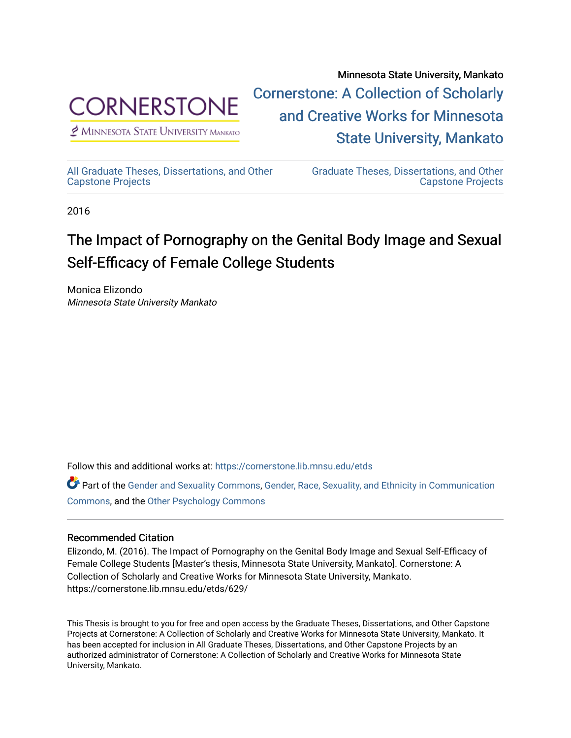

 $<sup>2</sup>$  Minnesota State University Mankato</sup>

Minnesota State University, Mankato [Cornerstone: A Collection of Scholarly](https://cornerstone.lib.mnsu.edu/)  [and Creative Works for Minnesota](https://cornerstone.lib.mnsu.edu/)  [State University, Mankato](https://cornerstone.lib.mnsu.edu/) 

[All Graduate Theses, Dissertations, and Other](https://cornerstone.lib.mnsu.edu/etds)  [Capstone Projects](https://cornerstone.lib.mnsu.edu/etds) 

[Graduate Theses, Dissertations, and Other](https://cornerstone.lib.mnsu.edu/theses_dissertations-capstone)  [Capstone Projects](https://cornerstone.lib.mnsu.edu/theses_dissertations-capstone) 

2016

# The Impact of Pornography on the Genital Body Image and Sexual Self-Efficacy of Female College Students

Monica Elizondo Minnesota State University Mankato

Follow this and additional works at: [https://cornerstone.lib.mnsu.edu/etds](https://cornerstone.lib.mnsu.edu/etds?utm_source=cornerstone.lib.mnsu.edu%2Fetds%2F629&utm_medium=PDF&utm_campaign=PDFCoverPages) 

Part of the [Gender and Sexuality Commons](http://network.bepress.com/hgg/discipline/420?utm_source=cornerstone.lib.mnsu.edu%2Fetds%2F629&utm_medium=PDF&utm_campaign=PDFCoverPages), [Gender, Race, Sexuality, and Ethnicity in Communication](http://network.bepress.com/hgg/discipline/329?utm_source=cornerstone.lib.mnsu.edu%2Fetds%2F629&utm_medium=PDF&utm_campaign=PDFCoverPages)  [Commons](http://network.bepress.com/hgg/discipline/329?utm_source=cornerstone.lib.mnsu.edu%2Fetds%2F629&utm_medium=PDF&utm_campaign=PDFCoverPages), and the [Other Psychology Commons](http://network.bepress.com/hgg/discipline/415?utm_source=cornerstone.lib.mnsu.edu%2Fetds%2F629&utm_medium=PDF&utm_campaign=PDFCoverPages) 

### Recommended Citation

Elizondo, M. (2016). The Impact of Pornography on the Genital Body Image and Sexual Self-Efficacy of Female College Students [Master's thesis, Minnesota State University, Mankato]. Cornerstone: A Collection of Scholarly and Creative Works for Minnesota State University, Mankato. https://cornerstone.lib.mnsu.edu/etds/629/

This Thesis is brought to you for free and open access by the Graduate Theses, Dissertations, and Other Capstone Projects at Cornerstone: A Collection of Scholarly and Creative Works for Minnesota State University, Mankato. It has been accepted for inclusion in All Graduate Theses, Dissertations, and Other Capstone Projects by an authorized administrator of Cornerstone: A Collection of Scholarly and Creative Works for Minnesota State University, Mankato.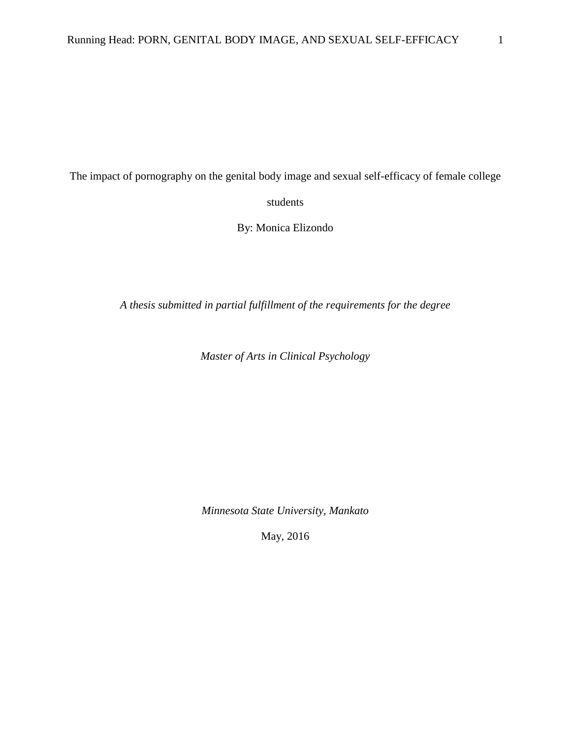The impact of pornography on the genital body image and sexual self-efficacy of female college students

By: Monica Elizondo

*A thesis submitted in partial fulfillment of the requirements for the degree*

*Master of Arts in Clinical Psychology*

*Minnesota State University, Mankato*

May, 2016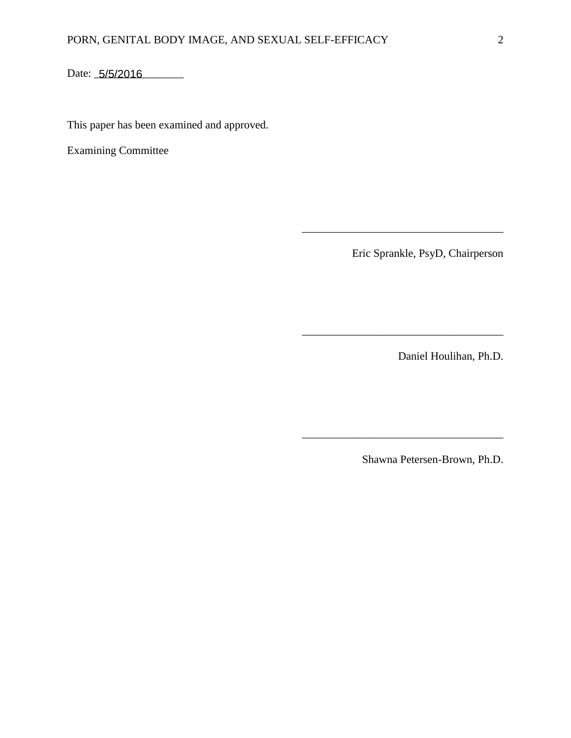Date: 5/5/2016

This paper has been examined and approved.

Examining Committee

Eric Sprankle, PsyD, Chairperson

\_\_\_\_\_\_\_\_\_\_\_\_\_\_\_\_\_\_\_\_\_\_\_\_\_\_\_\_\_\_\_\_\_\_\_\_

\_\_\_\_\_\_\_\_\_\_\_\_\_\_\_\_\_\_\_\_\_\_\_\_\_\_\_\_\_\_\_\_\_\_\_\_

\_\_\_\_\_\_\_\_\_\_\_\_\_\_\_\_\_\_\_\_\_\_\_\_\_\_\_\_\_\_\_\_\_\_\_\_

Daniel Houlihan, Ph.D.

Shawna Petersen-Brown, Ph.D.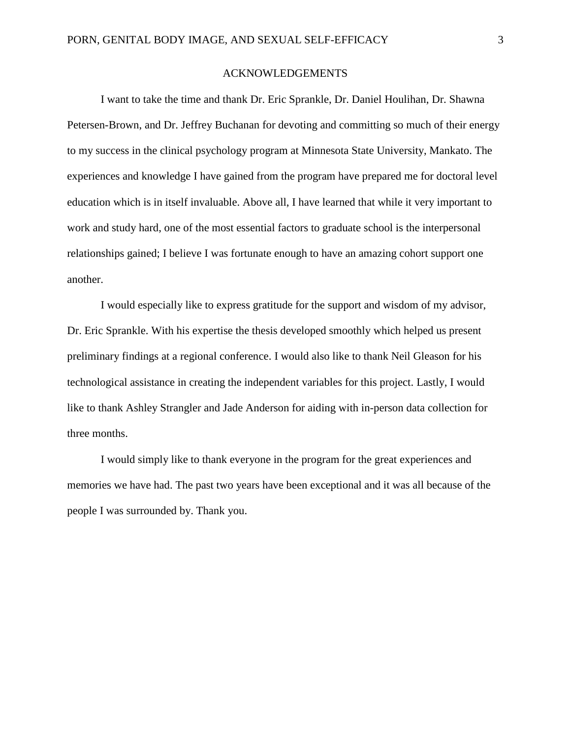## ACKNOWLEDGEMENTS

I want to take the time and thank Dr. Eric Sprankle, Dr. Daniel Houlihan, Dr. Shawna Petersen-Brown, and Dr. Jeffrey Buchanan for devoting and committing so much of their energy to my success in the clinical psychology program at Minnesota State University, Mankato. The experiences and knowledge I have gained from the program have prepared me for doctoral level education which is in itself invaluable. Above all, I have learned that while it very important to work and study hard, one of the most essential factors to graduate school is the interpersonal relationships gained; I believe I was fortunate enough to have an amazing cohort support one another.

I would especially like to express gratitude for the support and wisdom of my advisor, Dr. Eric Sprankle. With his expertise the thesis developed smoothly which helped us present preliminary findings at a regional conference. I would also like to thank Neil Gleason for his technological assistance in creating the independent variables for this project. Lastly, I would like to thank Ashley Strangler and Jade Anderson for aiding with in-person data collection for three months.

I would simply like to thank everyone in the program for the great experiences and memories we have had. The past two years have been exceptional and it was all because of the people I was surrounded by. Thank you.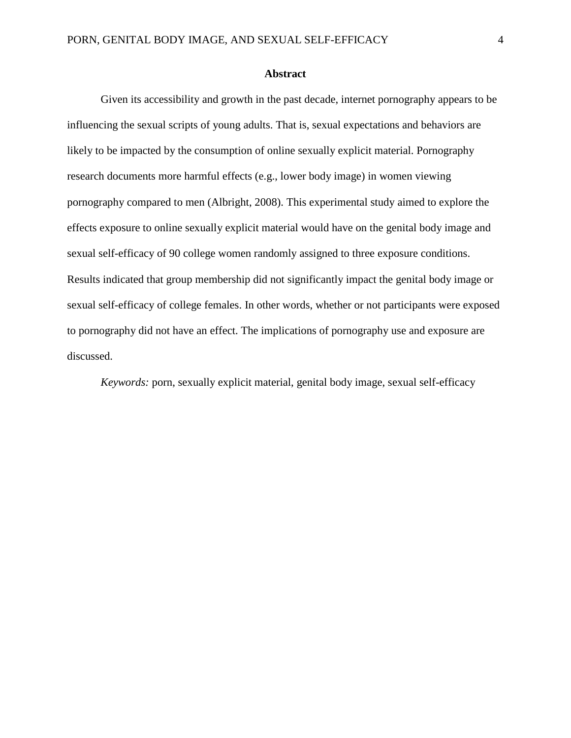#### **Abstract**

Given its accessibility and growth in the past decade, internet pornography appears to be influencing the sexual scripts of young adults. That is, sexual expectations and behaviors are likely to be impacted by the consumption of online sexually explicit material. Pornography research documents more harmful effects (e.g., lower body image) in women viewing pornography compared to men (Albright, 2008). This experimental study aimed to explore the effects exposure to online sexually explicit material would have on the genital body image and sexual self-efficacy of 90 college women randomly assigned to three exposure conditions. Results indicated that group membership did not significantly impact the genital body image or sexual self-efficacy of college females. In other words, whether or not participants were exposed to pornography did not have an effect. The implications of pornography use and exposure are discussed.

*Keywords:* porn, sexually explicit material, genital body image, sexual self-efficacy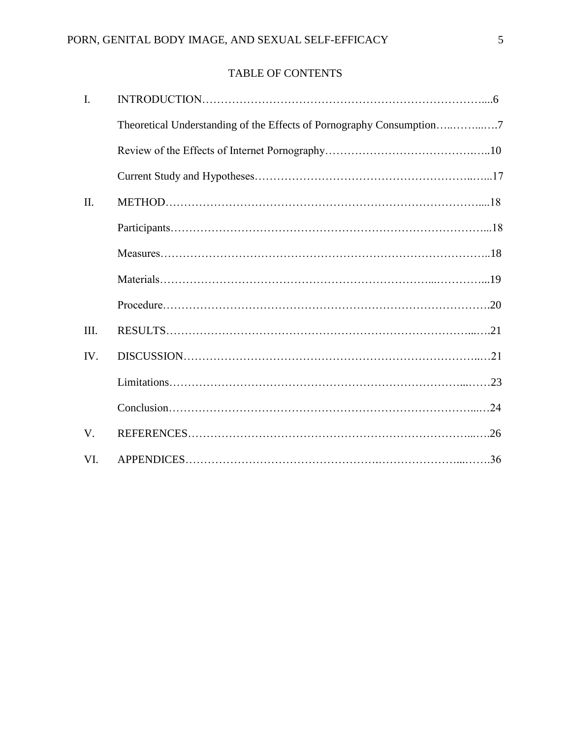# TABLE OF CONTENTS

| $\overline{I}$ . |                                                                      |  |
|------------------|----------------------------------------------------------------------|--|
|                  | Theoretical Understanding of the Effects of Pornography Consumption7 |  |
|                  |                                                                      |  |
|                  |                                                                      |  |
| II.              |                                                                      |  |
|                  |                                                                      |  |
|                  |                                                                      |  |
|                  |                                                                      |  |
|                  |                                                                      |  |
| III.             |                                                                      |  |
| IV.              |                                                                      |  |
|                  |                                                                      |  |
|                  |                                                                      |  |
| V.               |                                                                      |  |
| VI.              |                                                                      |  |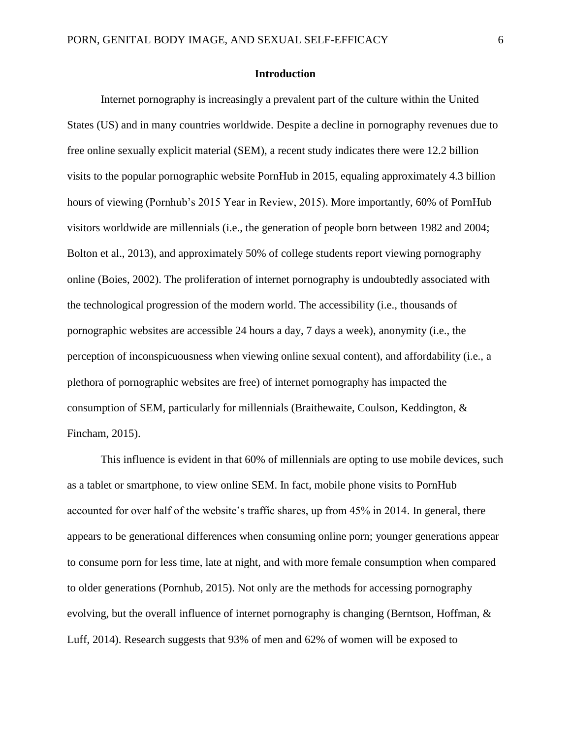#### **Introduction**

Internet pornography is increasingly a prevalent part of the culture within the United States (US) and in many countries worldwide. Despite a decline in pornography revenues due to free online sexually explicit material (SEM), a recent study indicates there were 12.2 billion visits to the popular pornographic website PornHub in 2015, equaling approximately 4.3 billion hours of viewing (Pornhub's 2015 Year in Review, 2015). More importantly, 60% of PornHub visitors worldwide are millennials (i.e., the generation of people born between 1982 and 2004; Bolton et al., 2013), and approximately 50% of college students report viewing pornography online (Boies, 2002). The proliferation of internet pornography is undoubtedly associated with the technological progression of the modern world. The accessibility (i.e., thousands of pornographic websites are accessible 24 hours a day, 7 days a week), anonymity (i.e., the perception of inconspicuousness when viewing online sexual content), and affordability (i.e., a plethora of pornographic websites are free) of internet pornography has impacted the consumption of SEM, particularly for millennials (Braithewaite, Coulson, Keddington, & Fincham, 2015).

This influence is evident in that 60% of millennials are opting to use mobile devices, such as a tablet or smartphone, to view online SEM. In fact, mobile phone visits to PornHub accounted for over half of the website's traffic shares, up from 45% in 2014. In general, there appears to be generational differences when consuming online porn; younger generations appear to consume porn for less time, late at night, and with more female consumption when compared to older generations (Pornhub, 2015). Not only are the methods for accessing pornography evolving, but the overall influence of internet pornography is changing (Berntson, Hoffman, & Luff, 2014). Research suggests that 93% of men and 62% of women will be exposed to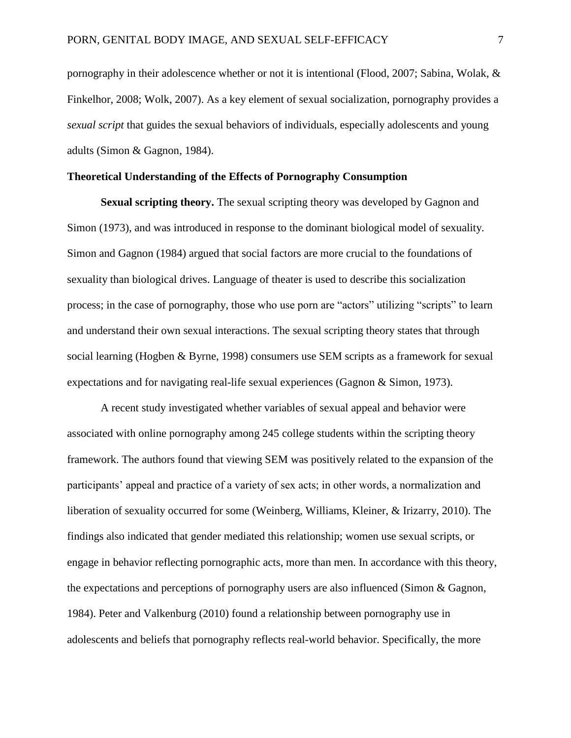pornography in their adolescence whether or not it is intentional (Flood, 2007; Sabina, Wolak, & Finkelhor, 2008; Wolk, 2007). As a key element of sexual socialization, pornography provides a *sexual script* that guides the sexual behaviors of individuals, especially adolescents and young adults (Simon & Gagnon, 1984).

## **Theoretical Understanding of the Effects of Pornography Consumption**

**Sexual scripting theory.** The sexual scripting theory was developed by Gagnon and Simon (1973), and was introduced in response to the dominant biological model of sexuality. Simon and Gagnon (1984) argued that social factors are more crucial to the foundations of sexuality than biological drives. Language of theater is used to describe this socialization process; in the case of pornography, those who use porn are "actors" utilizing "scripts" to learn and understand their own sexual interactions. The sexual scripting theory states that through social learning (Hogben & Byrne, 1998) consumers use SEM scripts as a framework for sexual expectations and for navigating real-life sexual experiences (Gagnon & Simon, 1973).

A recent study investigated whether variables of sexual appeal and behavior were associated with online pornography among 245 college students within the scripting theory framework. The authors found that viewing SEM was positively related to the expansion of the participants' appeal and practice of a variety of sex acts; in other words, a normalization and liberation of sexuality occurred for some (Weinberg, Williams, Kleiner, & Irizarry, 2010). The findings also indicated that gender mediated this relationship; women use sexual scripts, or engage in behavior reflecting pornographic acts, more than men. In accordance with this theory, the expectations and perceptions of pornography users are also influenced (Simon & Gagnon, 1984). Peter and Valkenburg (2010) found a relationship between pornography use in adolescents and beliefs that pornography reflects real-world behavior. Specifically, the more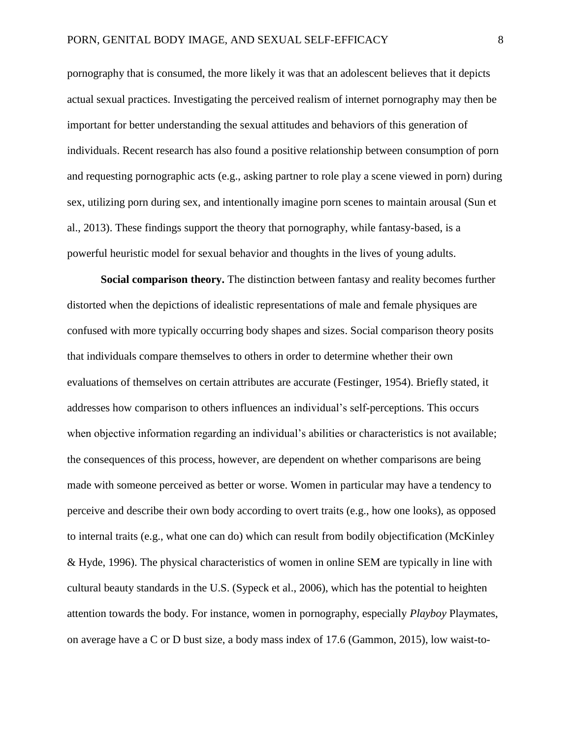pornography that is consumed, the more likely it was that an adolescent believes that it depicts actual sexual practices. Investigating the perceived realism of internet pornography may then be important for better understanding the sexual attitudes and behaviors of this generation of individuals. Recent research has also found a positive relationship between consumption of porn and requesting pornographic acts (e.g., asking partner to role play a scene viewed in porn) during sex, utilizing porn during sex, and intentionally imagine porn scenes to maintain arousal (Sun et al., 2013). These findings support the theory that pornography, while fantasy-based, is a powerful heuristic model for sexual behavior and thoughts in the lives of young adults.

**Social comparison theory.** The distinction between fantasy and reality becomes further distorted when the depictions of idealistic representations of male and female physiques are confused with more typically occurring body shapes and sizes. Social comparison theory posits that individuals compare themselves to others in order to determine whether their own evaluations of themselves on certain attributes are accurate (Festinger, 1954). Briefly stated, it addresses how comparison to others influences an individual's self-perceptions. This occurs when objective information regarding an individual's abilities or characteristics is not available; the consequences of this process, however, are dependent on whether comparisons are being made with someone perceived as better or worse. Women in particular may have a tendency to perceive and describe their own body according to overt traits (e.g., how one looks), as opposed to internal traits (e.g., what one can do) which can result from bodily objectification (McKinley & Hyde, 1996). The physical characteristics of women in online SEM are typically in line with cultural beauty standards in the U.S. (Sypeck et al., 2006), which has the potential to heighten attention towards the body. For instance, women in pornography, especially *Playboy* Playmates, on average have a C or D bust size, a body mass index of 17.6 (Gammon, 2015), low waist-to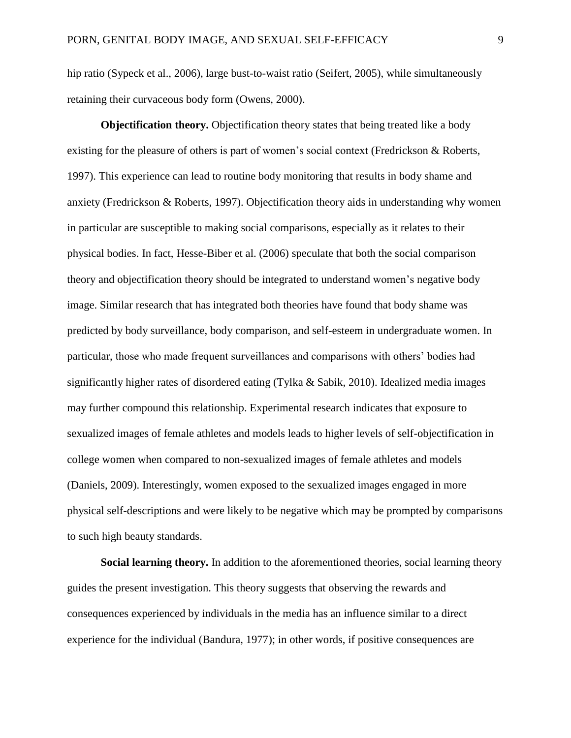hip ratio (Sypeck et al., 2006), large bust-to-waist ratio (Seifert, 2005), while simultaneously retaining their curvaceous body form (Owens, 2000).

**Objectification theory.** Objectification theory states that being treated like a body existing for the pleasure of others is part of women's social context (Fredrickson & Roberts, 1997). This experience can lead to routine body monitoring that results in body shame and anxiety (Fredrickson & Roberts, 1997). Objectification theory aids in understanding why women in particular are susceptible to making social comparisons, especially as it relates to their physical bodies. In fact, Hesse-Biber et al. (2006) speculate that both the social comparison theory and objectification theory should be integrated to understand women's negative body image. Similar research that has integrated both theories have found that body shame was predicted by body surveillance, body comparison, and self-esteem in undergraduate women. In particular, those who made frequent surveillances and comparisons with others' bodies had significantly higher rates of disordered eating (Tylka & Sabik, 2010). Idealized media images may further compound this relationship. Experimental research indicates that exposure to sexualized images of female athletes and models leads to higher levels of self-objectification in college women when compared to non-sexualized images of female athletes and models (Daniels, 2009). Interestingly, women exposed to the sexualized images engaged in more physical self-descriptions and were likely to be negative which may be prompted by comparisons to such high beauty standards.

**Social learning theory.** In addition to the aforementioned theories, social learning theory guides the present investigation. This theory suggests that observing the rewards and consequences experienced by individuals in the media has an influence similar to a direct experience for the individual (Bandura, 1977); in other words, if positive consequences are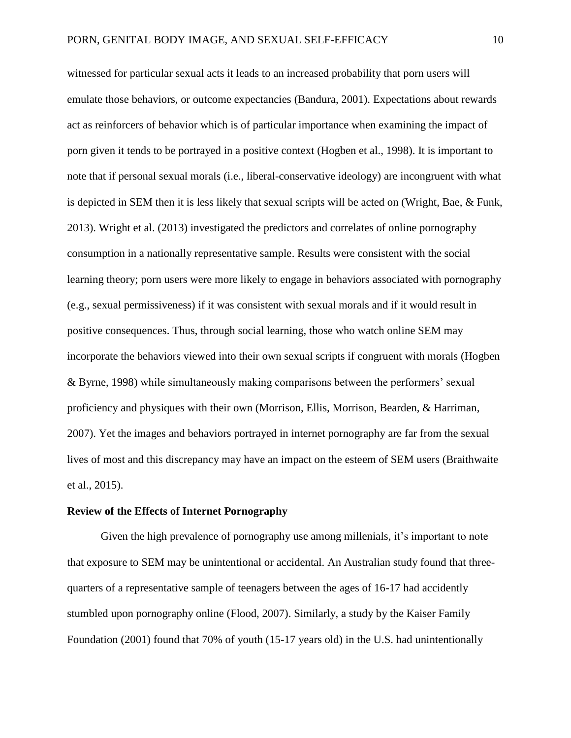witnessed for particular sexual acts it leads to an increased probability that porn users will emulate those behaviors, or outcome expectancies (Bandura, 2001). Expectations about rewards act as reinforcers of behavior which is of particular importance when examining the impact of porn given it tends to be portrayed in a positive context (Hogben et al., 1998). It is important to note that if personal sexual morals (i.e., liberal-conservative ideology) are incongruent with what is depicted in SEM then it is less likely that sexual scripts will be acted on (Wright, Bae, & Funk, 2013). Wright et al. (2013) investigated the predictors and correlates of online pornography consumption in a nationally representative sample. Results were consistent with the social learning theory; porn users were more likely to engage in behaviors associated with pornography (e.g., sexual permissiveness) if it was consistent with sexual morals and if it would result in positive consequences. Thus, through social learning, those who watch online SEM may incorporate the behaviors viewed into their own sexual scripts if congruent with morals (Hogben & Byrne, 1998) while simultaneously making comparisons between the performers' sexual proficiency and physiques with their own (Morrison, Ellis, Morrison, Bearden, & Harriman, 2007). Yet the images and behaviors portrayed in internet pornography are far from the sexual lives of most and this discrepancy may have an impact on the esteem of SEM users (Braithwaite et al., 2015).

#### **Review of the Effects of Internet Pornography**

Given the high prevalence of pornography use among millenials, it's important to note that exposure to SEM may be unintentional or accidental. An Australian study found that threequarters of a representative sample of teenagers between the ages of 16-17 had accidently stumbled upon pornography online (Flood, 2007). Similarly, a study by the Kaiser Family Foundation (2001) found that 70% of youth (15-17 years old) in the U.S. had unintentionally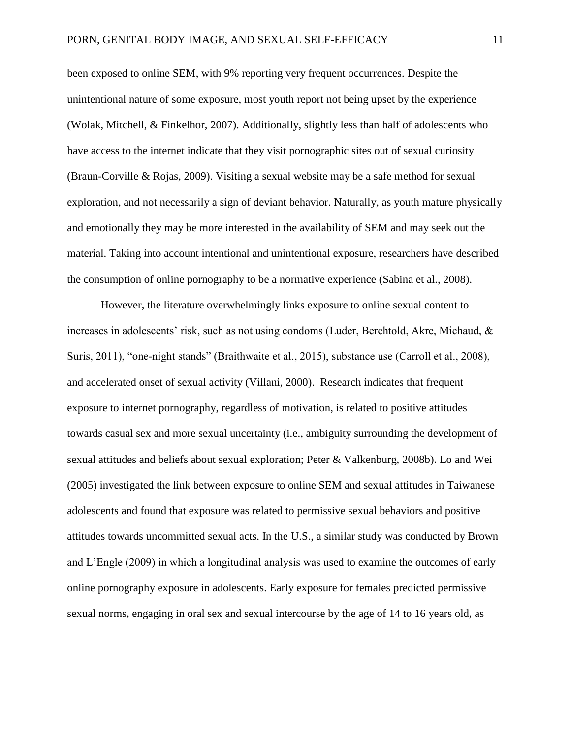been exposed to online SEM, with 9% reporting very frequent occurrences. Despite the unintentional nature of some exposure, most youth report not being upset by the experience (Wolak, Mitchell, & Finkelhor, 2007). Additionally, slightly less than half of adolescents who have access to the internet indicate that they visit pornographic sites out of sexual curiosity (Braun-Corville & Rojas, 2009). Visiting a sexual website may be a safe method for sexual exploration, and not necessarily a sign of deviant behavior. Naturally, as youth mature physically and emotionally they may be more interested in the availability of SEM and may seek out the material. Taking into account intentional and unintentional exposure, researchers have described the consumption of online pornography to be a normative experience (Sabina et al., 2008).

However, the literature overwhelmingly links exposure to online sexual content to increases in adolescents' risk, such as not using condoms (Luder, Berchtold, Akre, Michaud, & Suris, 2011), "one-night stands" (Braithwaite et al., 2015), substance use (Carroll et al., 2008), and accelerated onset of sexual activity (Villani, 2000). Research indicates that frequent exposure to internet pornography, regardless of motivation, is related to positive attitudes towards casual sex and more sexual uncertainty (i.e., ambiguity surrounding the development of sexual attitudes and beliefs about sexual exploration; Peter & Valkenburg, 2008b). Lo and Wei (2005) investigated the link between exposure to online SEM and sexual attitudes in Taiwanese adolescents and found that exposure was related to permissive sexual behaviors and positive attitudes towards uncommitted sexual acts. In the U.S., a similar study was conducted by Brown and L'Engle (2009) in which a longitudinal analysis was used to examine the outcomes of early online pornography exposure in adolescents. Early exposure for females predicted permissive sexual norms, engaging in oral sex and sexual intercourse by the age of 14 to 16 years old, as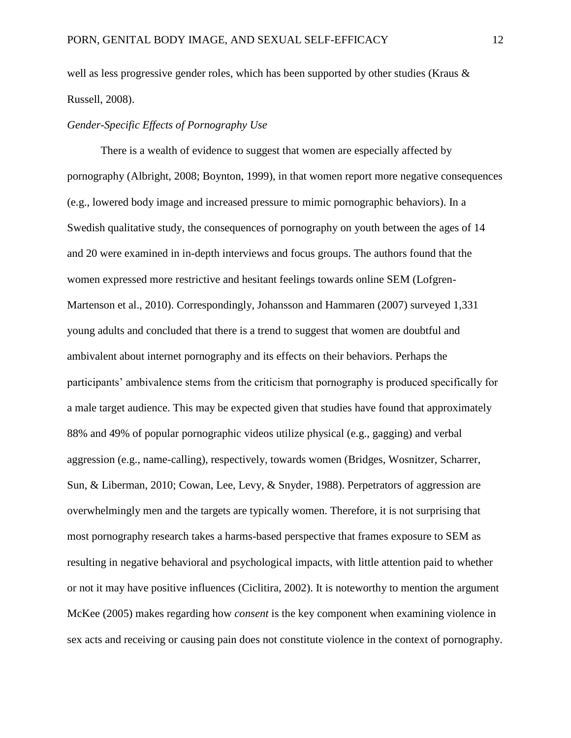well as less progressive gender roles, which has been supported by other studies (Kraus & Russell, 2008).

## *Gender-Specific Effects of Pornography Use*

There is a wealth of evidence to suggest that women are especially affected by pornography (Albright, 2008; Boynton, 1999), in that women report more negative consequences (e.g., lowered body image and increased pressure to mimic pornographic behaviors). In a Swedish qualitative study, the consequences of pornography on youth between the ages of 14 and 20 were examined in in-depth interviews and focus groups. The authors found that the women expressed more restrictive and hesitant feelings towards online SEM (Lofgren-Martenson et al., 2010). Correspondingly, Johansson and Hammaren (2007) surveyed 1,331 young adults and concluded that there is a trend to suggest that women are doubtful and ambivalent about internet pornography and its effects on their behaviors. Perhaps the participants' ambivalence stems from the criticism that pornography is produced specifically for a male target audience. This may be expected given that studies have found that approximately 88% and 49% of popular pornographic videos utilize physical (e.g., gagging) and verbal aggression (e.g., name-calling), respectively, towards women (Bridges, Wosnitzer, Scharrer, Sun, & Liberman, 2010; Cowan, Lee, Levy, & Snyder, 1988). Perpetrators of aggression are overwhelmingly men and the targets are typically women. Therefore, it is not surprising that most pornography research takes a harms-based perspective that frames exposure to SEM as resulting in negative behavioral and psychological impacts, with little attention paid to whether or not it may have positive influences (Ciclitira, 2002). It is noteworthy to mention the argument McKee (2005) makes regarding how *consent* is the key component when examining violence in sex acts and receiving or causing pain does not constitute violence in the context of pornography.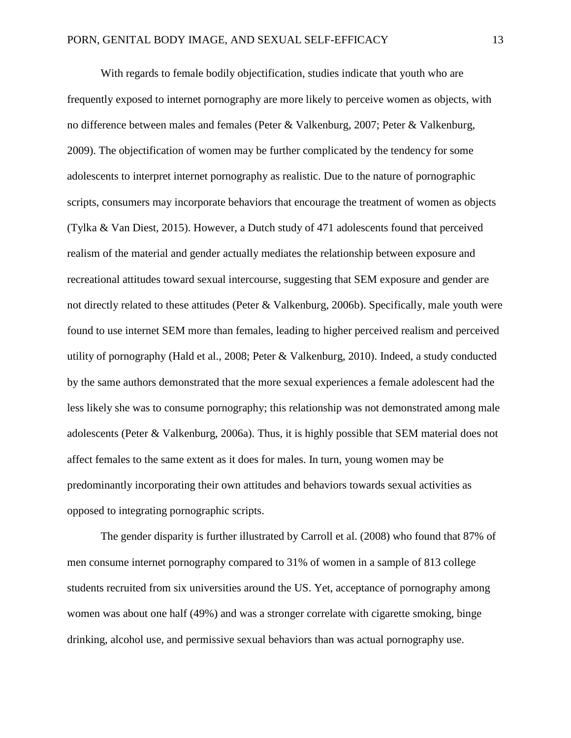With regards to female bodily objectification*,* studies indicate that youth who are frequently exposed to internet pornography are more likely to perceive women as objects, with no difference between males and females (Peter & Valkenburg, 2007; Peter & Valkenburg, 2009). The objectification of women may be further complicated by the tendency for some adolescents to interpret internet pornography as realistic. Due to the nature of pornographic scripts, consumers may incorporate behaviors that encourage the treatment of women as objects (Tylka & Van Diest, 2015). However, a Dutch study of 471 adolescents found that perceived realism of the material and gender actually mediates the relationship between exposure and recreational attitudes toward sexual intercourse, suggesting that SEM exposure and gender are not directly related to these attitudes (Peter & Valkenburg, 2006b). Specifically, male youth were found to use internet SEM more than females, leading to higher perceived realism and perceived utility of pornography (Hald et al., 2008; Peter & Valkenburg, 2010). Indeed, a study conducted by the same authors demonstrated that the more sexual experiences a female adolescent had the less likely she was to consume pornography; this relationship was not demonstrated among male adolescents (Peter & Valkenburg, 2006a). Thus, it is highly possible that SEM material does not affect females to the same extent as it does for males. In turn, young women may be predominantly incorporating their own attitudes and behaviors towards sexual activities as opposed to integrating pornographic scripts.

The gender disparity is further illustrated by Carroll et al. (2008) who found that 87% of men consume internet pornography compared to 31% of women in a sample of 813 college students recruited from six universities around the US. Yet, acceptance of pornography among women was about one half (49%) and was a stronger correlate with cigarette smoking, binge drinking, alcohol use, and permissive sexual behaviors than was actual pornography use.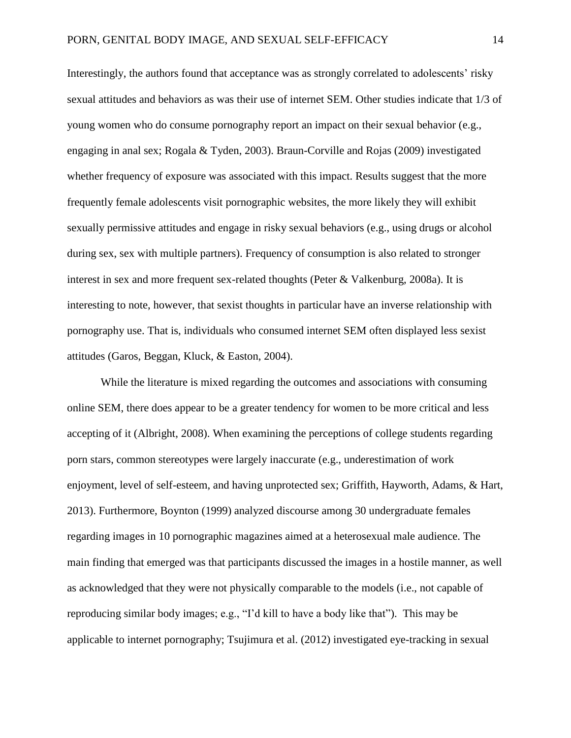Interestingly, the authors found that acceptance was as strongly correlated to adolescents' risky sexual attitudes and behaviors as was their use of internet SEM. Other studies indicate that 1/3 of young women who do consume pornography report an impact on their sexual behavior (e.g., engaging in anal sex; Rogala & Tyden, 2003). Braun-Corville and Rojas (2009) investigated whether frequency of exposure was associated with this impact. Results suggest that the more frequently female adolescents visit pornographic websites, the more likely they will exhibit sexually permissive attitudes and engage in risky sexual behaviors (e.g., using drugs or alcohol during sex, sex with multiple partners). Frequency of consumption is also related to stronger interest in sex and more frequent sex-related thoughts (Peter & Valkenburg, 2008a). It is interesting to note, however, that sexist thoughts in particular have an inverse relationship with pornography use. That is, individuals who consumed internet SEM often displayed less sexist attitudes (Garos, Beggan, Kluck, & Easton, 2004).

While the literature is mixed regarding the outcomes and associations with consuming online SEM, there does appear to be a greater tendency for women to be more critical and less accepting of it (Albright, 2008). When examining the perceptions of college students regarding porn stars, common stereotypes were largely inaccurate (e.g., underestimation of work enjoyment, level of self-esteem, and having unprotected sex; Griffith, Hayworth, Adams, & Hart, 2013). Furthermore, Boynton (1999) analyzed discourse among 30 undergraduate females regarding images in 10 pornographic magazines aimed at a heterosexual male audience. The main finding that emerged was that participants discussed the images in a hostile manner, as well as acknowledged that they were not physically comparable to the models (i.e., not capable of reproducing similar body images; e.g., "I'd kill to have a body like that"). This may be applicable to internet pornography; Tsujimura et al. (2012) investigated eye-tracking in sexual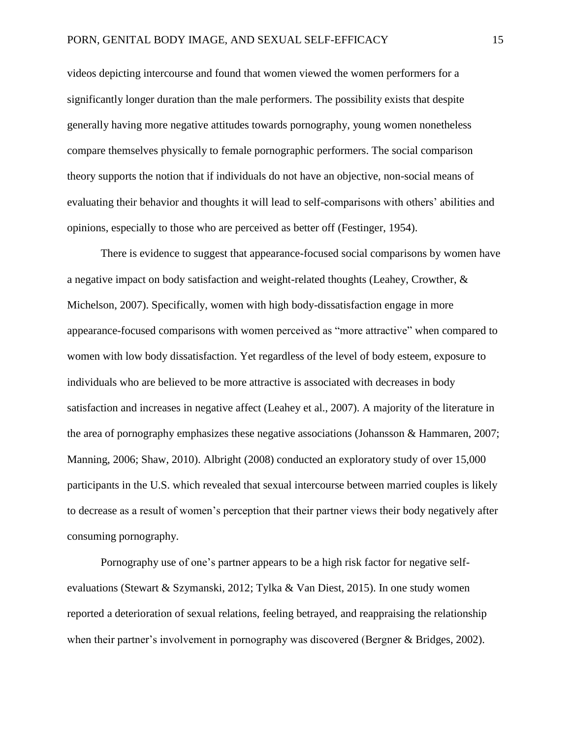videos depicting intercourse and found that women viewed the women performers for a significantly longer duration than the male performers. The possibility exists that despite generally having more negative attitudes towards pornography, young women nonetheless compare themselves physically to female pornographic performers. The social comparison theory supports the notion that if individuals do not have an objective, non-social means of evaluating their behavior and thoughts it will lead to self-comparisons with others' abilities and opinions, especially to those who are perceived as better off (Festinger, 1954).

There is evidence to suggest that appearance-focused social comparisons by women have a negative impact on body satisfaction and weight-related thoughts (Leahey, Crowther, & Michelson, 2007). Specifically, women with high body-dissatisfaction engage in more appearance-focused comparisons with women perceived as "more attractive" when compared to women with low body dissatisfaction. Yet regardless of the level of body esteem, exposure to individuals who are believed to be more attractive is associated with decreases in body satisfaction and increases in negative affect (Leahey et al., 2007). A majority of the literature in the area of pornography emphasizes these negative associations (Johansson & Hammaren, 2007; Manning, 2006; Shaw, 2010). Albright (2008) conducted an exploratory study of over 15,000 participants in the U.S. which revealed that sexual intercourse between married couples is likely to decrease as a result of women's perception that their partner views their body negatively after consuming pornography.

Pornography use of one's partner appears to be a high risk factor for negative selfevaluations (Stewart & Szymanski, 2012; Tylka & Van Diest, 2015). In one study women reported a deterioration of sexual relations, feeling betrayed, and reappraising the relationship when their partner's involvement in pornography was discovered (Bergner & Bridges, 2002).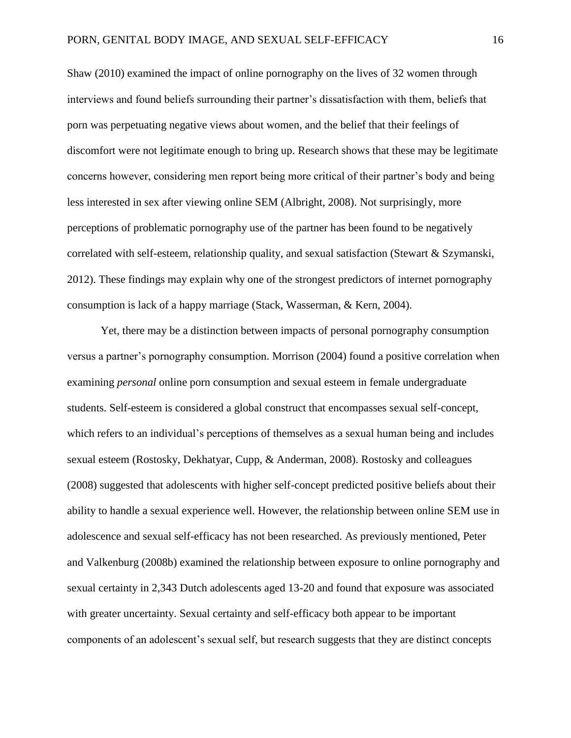Shaw (2010) examined the impact of online pornography on the lives of 32 women through interviews and found beliefs surrounding their partner's dissatisfaction with them, beliefs that porn was perpetuating negative views about women, and the belief that their feelings of discomfort were not legitimate enough to bring up. Research shows that these may be legitimate concerns however, considering men report being more critical of their partner's body and being less interested in sex after viewing online SEM (Albright, 2008). Not surprisingly, more perceptions of problematic pornography use of the partner has been found to be negatively correlated with self-esteem, relationship quality, and sexual satisfaction (Stewart  $\&$  Szymanski, 2012). These findings may explain why one of the strongest predictors of internet pornography consumption is lack of a happy marriage (Stack, Wasserman, & Kern, 2004).

Yet, there may be a distinction between impacts of personal pornography consumption versus a partner's pornography consumption. Morrison (2004) found a positive correlation when examining *personal* online porn consumption and sexual esteem in female undergraduate students. Self-esteem is considered a global construct that encompasses sexual self-concept, which refers to an individual's perceptions of themselves as a sexual human being and includes sexual esteem (Rostosky, Dekhatyar, Cupp, & Anderman, 2008). Rostosky and colleagues (2008) suggested that adolescents with higher self-concept predicted positive beliefs about their ability to handle a sexual experience well. However, the relationship between online SEM use in adolescence and sexual self-efficacy has not been researched. As previously mentioned, Peter and Valkenburg (2008b) examined the relationship between exposure to online pornography and sexual certainty in 2,343 Dutch adolescents aged 13-20 and found that exposure was associated with greater uncertainty. Sexual certainty and self-efficacy both appear to be important components of an adolescent's sexual self, but research suggests that they are distinct concepts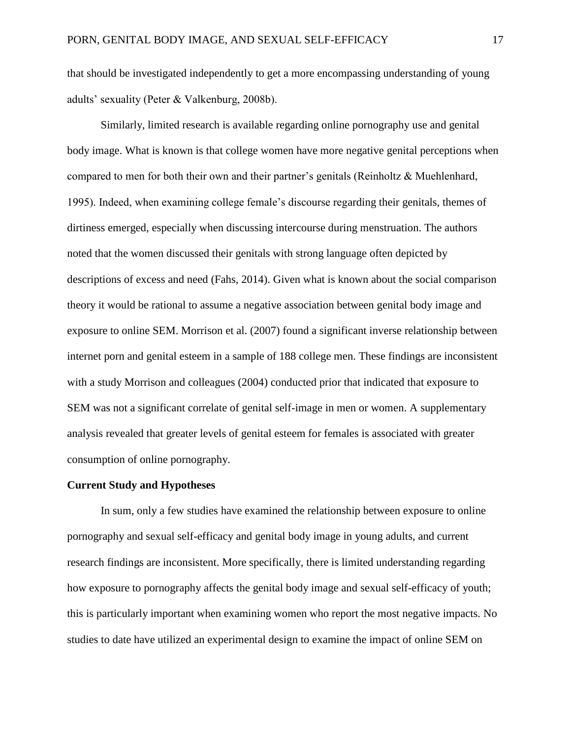that should be investigated independently to get a more encompassing understanding of young adults' sexuality (Peter & Valkenburg, 2008b).

Similarly, limited research is available regarding online pornography use and genital body image. What is known is that college women have more negative genital perceptions when compared to men for both their own and their partner's genitals (Reinholtz & Muehlenhard, 1995). Indeed, when examining college female's discourse regarding their genitals, themes of dirtiness emerged, especially when discussing intercourse during menstruation. The authors noted that the women discussed their genitals with strong language often depicted by descriptions of excess and need (Fahs, 2014). Given what is known about the social comparison theory it would be rational to assume a negative association between genital body image and exposure to online SEM. Morrison et al. (2007) found a significant inverse relationship between internet porn and genital esteem in a sample of 188 college men. These findings are inconsistent with a study Morrison and colleagues (2004) conducted prior that indicated that exposure to SEM was not a significant correlate of genital self-image in men or women. A supplementary analysis revealed that greater levels of genital esteem for females is associated with greater consumption of online pornography.

#### **Current Study and Hypotheses**

In sum, only a few studies have examined the relationship between exposure to online pornography and sexual self-efficacy and genital body image in young adults, and current research findings are inconsistent. More specifically, there is limited understanding regarding how exposure to pornography affects the genital body image and sexual self-efficacy of youth; this is particularly important when examining women who report the most negative impacts. No studies to date have utilized an experimental design to examine the impact of online SEM on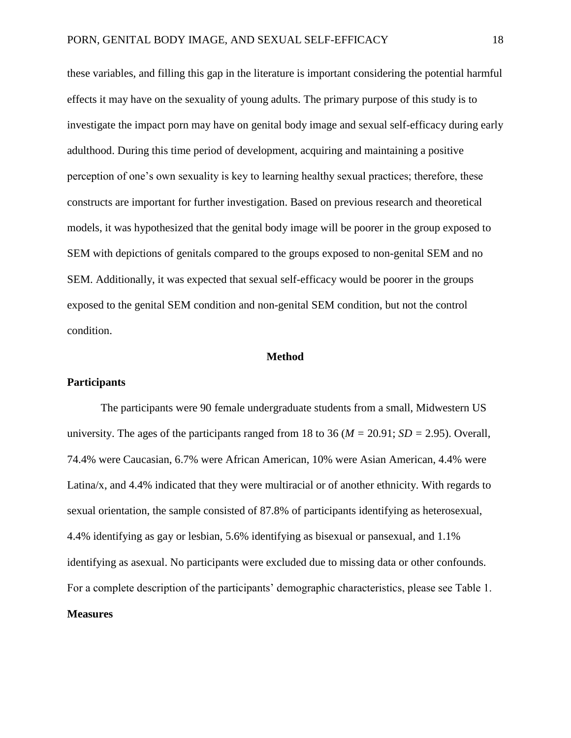these variables, and filling this gap in the literature is important considering the potential harmful effects it may have on the sexuality of young adults. The primary purpose of this study is to investigate the impact porn may have on genital body image and sexual self-efficacy during early adulthood. During this time period of development, acquiring and maintaining a positive perception of one's own sexuality is key to learning healthy sexual practices; therefore, these constructs are important for further investigation. Based on previous research and theoretical models, it was hypothesized that the genital body image will be poorer in the group exposed to SEM with depictions of genitals compared to the groups exposed to non-genital SEM and no SEM. Additionally, it was expected that sexual self-efficacy would be poorer in the groups exposed to the genital SEM condition and non-genital SEM condition, but not the control condition.

#### **Method**

#### **Participants**

The participants were 90 female undergraduate students from a small, Midwestern US university. The ages of the participants ranged from 18 to 36 (*M =* 20.91; *SD =* 2.95). Overall, 74.4% were Caucasian, 6.7% were African American, 10% were Asian American, 4.4% were Latina/x, and 4.4% indicated that they were multiracial or of another ethnicity. With regards to sexual orientation, the sample consisted of 87.8% of participants identifying as heterosexual, 4.4% identifying as gay or lesbian, 5.6% identifying as bisexual or pansexual, and 1.1% identifying as asexual. No participants were excluded due to missing data or other confounds. For a complete description of the participants' demographic characteristics, please see Table 1. **Measures**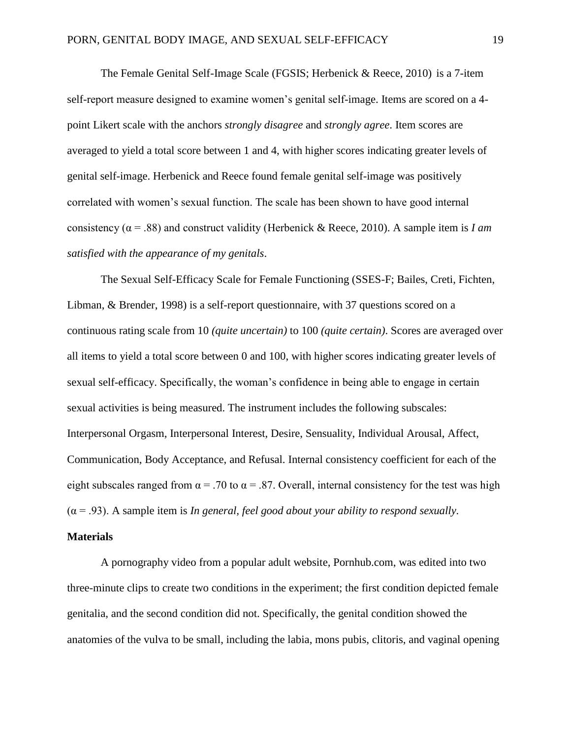The Female Genital Self-Image Scale (FGSIS; Herbenick & Reece, 2010) is a 7-item self-report measure designed to examine women's genital self-image. Items are scored on a 4 point Likert scale with the anchors *strongly disagree* and *strongly agree*. Item scores are averaged to yield a total score between 1 and 4, with higher scores indicating greater levels of genital self-image. Herbenick and Reece found female genital self-image was positively correlated with women's sexual function. The scale has been shown to have good internal consistency ( $\alpha$  = .88) and construct validity (Herbenick & Reece, 2010). A sample item is *I am satisfied with the appearance of my genitals*.

The Sexual Self-Efficacy Scale for Female Functioning (SSES-F; Bailes, Creti, Fichten, Libman, & Brender, 1998) is a self-report questionnaire, with 37 questions scored on a continuous rating scale from 10 *(quite uncertain)* to 100 *(quite certain)*. Scores are averaged over all items to yield a total score between 0 and 100, with higher scores indicating greater levels of sexual self-efficacy. Specifically, the woman's confidence in being able to engage in certain sexual activities is being measured. The instrument includes the following subscales: Interpersonal Orgasm, Interpersonal Interest, Desire, Sensuality, Individual Arousal, Affect, Communication, Body Acceptance, and Refusal. Internal consistency coefficient for each of the eight subscales ranged from  $\alpha$  = .70 to  $\alpha$  = .87. Overall, internal consistency for the test was high (α = .93). A sample item is *In general, feel good about your ability to respond sexually.*

#### **Materials**

A pornography video from a popular adult website, Pornhub.com, was edited into two three-minute clips to create two conditions in the experiment; the first condition depicted female genitalia, and the second condition did not. Specifically, the genital condition showed the anatomies of the vulva to be small, including the labia, mons pubis, clitoris, and vaginal opening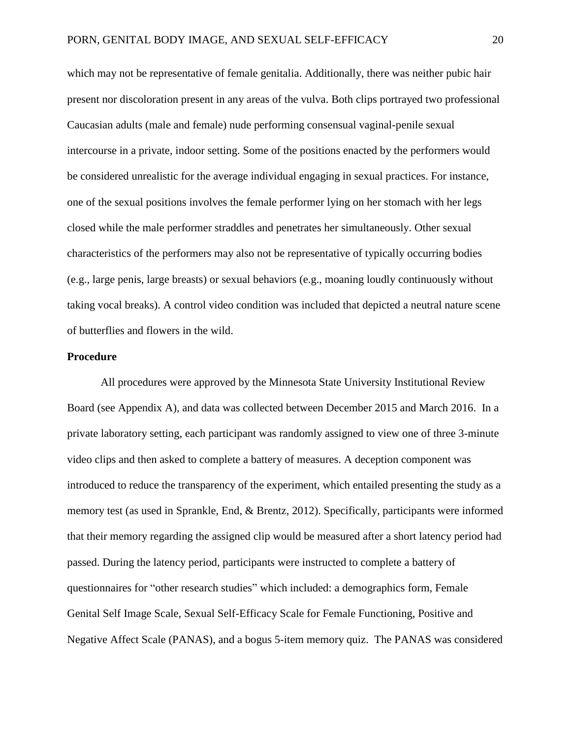which may not be representative of female genitalia. Additionally, there was neither pubic hair present nor discoloration present in any areas of the vulva. Both clips portrayed two professional Caucasian adults (male and female) nude performing consensual vaginal-penile sexual intercourse in a private, indoor setting. Some of the positions enacted by the performers would be considered unrealistic for the average individual engaging in sexual practices. For instance, one of the sexual positions involves the female performer lying on her stomach with her legs closed while the male performer straddles and penetrates her simultaneously. Other sexual characteristics of the performers may also not be representative of typically occurring bodies (e.g., large penis, large breasts) or sexual behaviors (e.g., moaning loudly continuously without taking vocal breaks). A control video condition was included that depicted a neutral nature scene of butterflies and flowers in the wild.

#### **Procedure**

All procedures were approved by the Minnesota State University Institutional Review Board (see Appendix A), and data was collected between December 2015 and March 2016. In a private laboratory setting, each participant was randomly assigned to view one of three 3-minute video clips and then asked to complete a battery of measures. A deception component was introduced to reduce the transparency of the experiment, which entailed presenting the study as a memory test (as used in Sprankle, End, & Brentz, 2012). Specifically, participants were informed that their memory regarding the assigned clip would be measured after a short latency period had passed. During the latency period, participants were instructed to complete a battery of questionnaires for "other research studies" which included: a demographics form, Female Genital Self Image Scale, Sexual Self-Efficacy Scale for Female Functioning, Positive and Negative Affect Scale (PANAS), and a bogus 5-item memory quiz. The PANAS was considered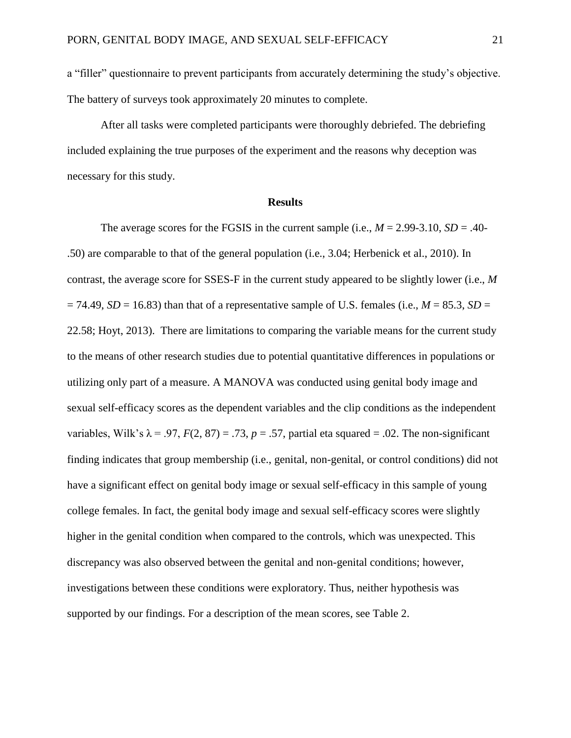a "filler" questionnaire to prevent participants from accurately determining the study's objective. The battery of surveys took approximately 20 minutes to complete.

After all tasks were completed participants were thoroughly debriefed. The debriefing included explaining the true purposes of the experiment and the reasons why deception was necessary for this study.

#### **Results**

The average scores for the FGSIS in the current sample (i.e.,  $M = 2.99 - 3.10$ ,  $SD = .40$ -.50) are comparable to that of the general population (i.e., 3.04; Herbenick et al., 2010). In contrast, the average score for SSES-F in the current study appeared to be slightly lower (i.e., *M*  $= 74.49$ , *SD* = 16.83) than that of a representative sample of U.S. females (i.e., *M* = 85.3, *SD* = 22.58; Hoyt, 2013). There are limitations to comparing the variable means for the current study to the means of other research studies due to potential quantitative differences in populations or utilizing only part of a measure. A MANOVA was conducted using genital body image and sexual self-efficacy scores as the dependent variables and the clip conditions as the independent variables, Wilk's  $\lambda = .97$ ,  $F(2, 87) = .73$ ,  $p = .57$ , partial eta squared = .02. The non-significant finding indicates that group membership (i.e., genital, non-genital, or control conditions) did not have a significant effect on genital body image or sexual self-efficacy in this sample of young college females. In fact, the genital body image and sexual self-efficacy scores were slightly higher in the genital condition when compared to the controls, which was unexpected. This discrepancy was also observed between the genital and non-genital conditions; however, investigations between these conditions were exploratory. Thus, neither hypothesis was supported by our findings. For a description of the mean scores, see Table 2.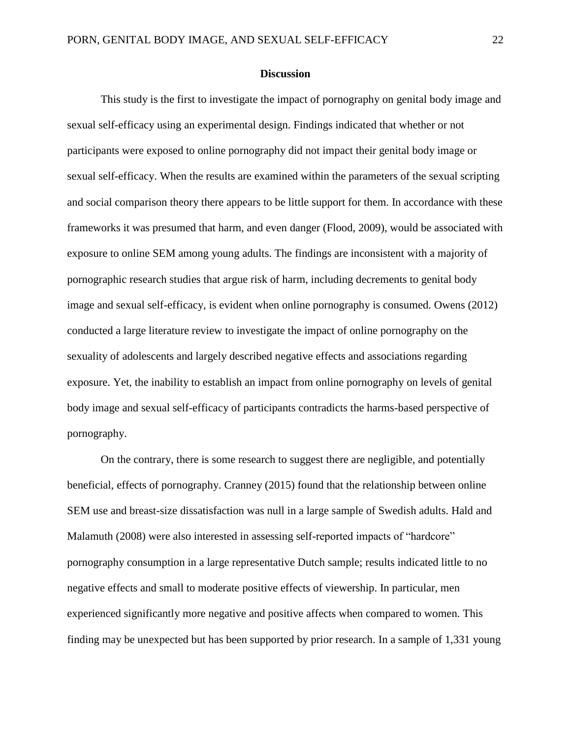#### **Discussion**

This study is the first to investigate the impact of pornography on genital body image and sexual self-efficacy using an experimental design. Findings indicated that whether or not participants were exposed to online pornography did not impact their genital body image or sexual self-efficacy. When the results are examined within the parameters of the sexual scripting and social comparison theory there appears to be little support for them. In accordance with these frameworks it was presumed that harm, and even danger (Flood, 2009), would be associated with exposure to online SEM among young adults. The findings are inconsistent with a majority of pornographic research studies that argue risk of harm, including decrements to genital body image and sexual self-efficacy, is evident when online pornography is consumed. Owens (2012) conducted a large literature review to investigate the impact of online pornography on the sexuality of adolescents and largely described negative effects and associations regarding exposure. Yet, the inability to establish an impact from online pornography on levels of genital body image and sexual self-efficacy of participants contradicts the harms-based perspective of pornography.

On the contrary, there is some research to suggest there are negligible, and potentially beneficial, effects of pornography. Cranney (2015) found that the relationship between online SEM use and breast-size dissatisfaction was null in a large sample of Swedish adults. Hald and Malamuth (2008) were also interested in assessing self-reported impacts of "hardcore" pornography consumption in a large representative Dutch sample; results indicated little to no negative effects and small to moderate positive effects of viewership. In particular, men experienced significantly more negative and positive affects when compared to women. This finding may be unexpected but has been supported by prior research. In a sample of 1,331 young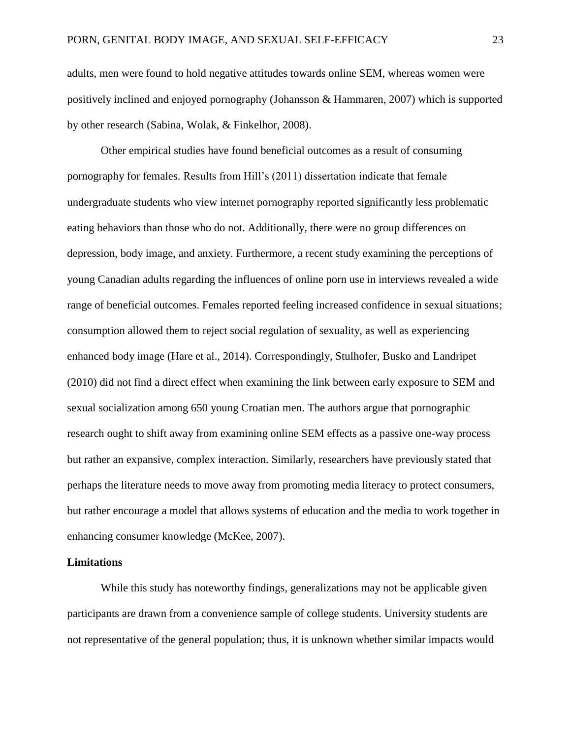adults, men were found to hold negative attitudes towards online SEM, whereas women were positively inclined and enjoyed pornography (Johansson & Hammaren, 2007) which is supported by other research (Sabina, Wolak, & Finkelhor, 2008).

Other empirical studies have found beneficial outcomes as a result of consuming pornography for females. Results from Hill's (2011) dissertation indicate that female undergraduate students who view internet pornography reported significantly less problematic eating behaviors than those who do not. Additionally, there were no group differences on depression, body image, and anxiety. Furthermore, a recent study examining the perceptions of young Canadian adults regarding the influences of online porn use in interviews revealed a wide range of beneficial outcomes. Females reported feeling increased confidence in sexual situations; consumption allowed them to reject social regulation of sexuality, as well as experiencing enhanced body image (Hare et al., 2014). Correspondingly, Stulhofer, Busko and Landripet (2010) did not find a direct effect when examining the link between early exposure to SEM and sexual socialization among 650 young Croatian men. The authors argue that pornographic research ought to shift away from examining online SEM effects as a passive one-way process but rather an expansive, complex interaction. Similarly, researchers have previously stated that perhaps the literature needs to move away from promoting media literacy to protect consumers, but rather encourage a model that allows systems of education and the media to work together in enhancing consumer knowledge (McKee, 2007).

#### **Limitations**

While this study has noteworthy findings, generalizations may not be applicable given participants are drawn from a convenience sample of college students. University students are not representative of the general population; thus, it is unknown whether similar impacts would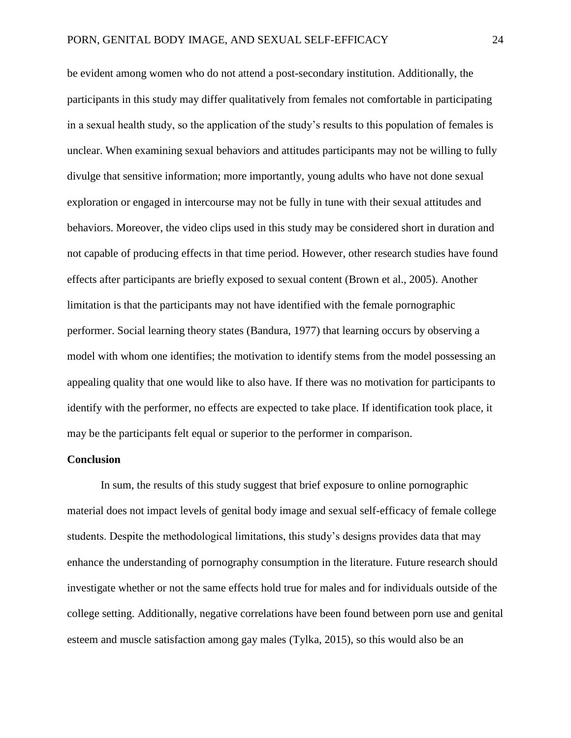be evident among women who do not attend a post-secondary institution. Additionally, the participants in this study may differ qualitatively from females not comfortable in participating in a sexual health study, so the application of the study's results to this population of females is unclear. When examining sexual behaviors and attitudes participants may not be willing to fully divulge that sensitive information; more importantly, young adults who have not done sexual exploration or engaged in intercourse may not be fully in tune with their sexual attitudes and behaviors. Moreover, the video clips used in this study may be considered short in duration and not capable of producing effects in that time period. However, other research studies have found effects after participants are briefly exposed to sexual content (Brown et al., 2005). Another limitation is that the participants may not have identified with the female pornographic performer. Social learning theory states (Bandura, 1977) that learning occurs by observing a model with whom one identifies; the motivation to identify stems from the model possessing an appealing quality that one would like to also have. If there was no motivation for participants to identify with the performer, no effects are expected to take place. If identification took place, it may be the participants felt equal or superior to the performer in comparison.

#### **Conclusion**

In sum, the results of this study suggest that brief exposure to online pornographic material does not impact levels of genital body image and sexual self-efficacy of female college students. Despite the methodological limitations, this study's designs provides data that may enhance the understanding of pornography consumption in the literature. Future research should investigate whether or not the same effects hold true for males and for individuals outside of the college setting. Additionally, negative correlations have been found between porn use and genital esteem and muscle satisfaction among gay males (Tylka, 2015), so this would also be an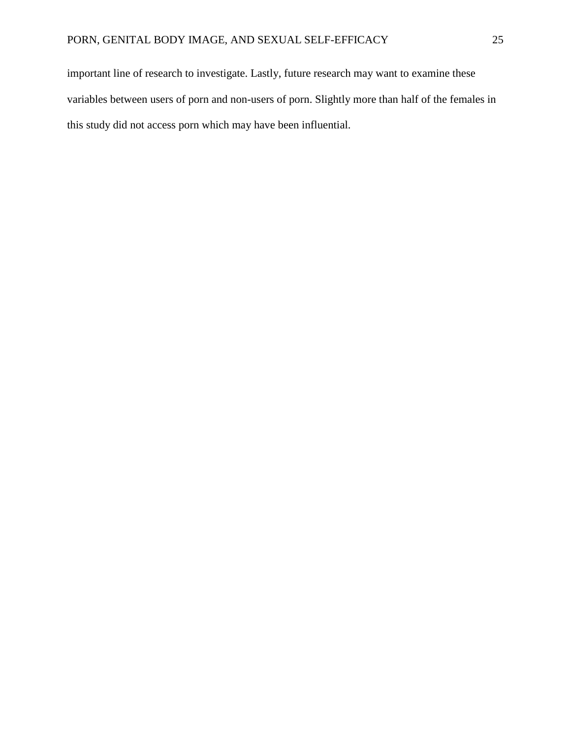important line of research to investigate. Lastly, future research may want to examine these variables between users of porn and non-users of porn. Slightly more than half of the females in this study did not access porn which may have been influential.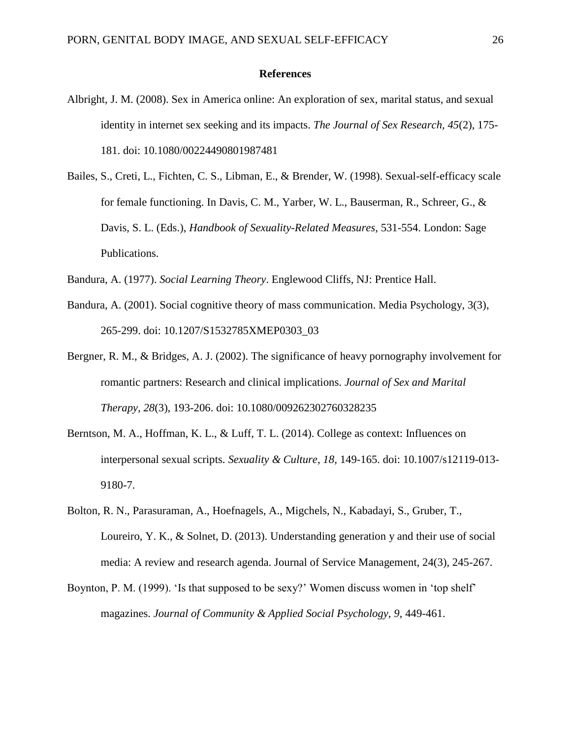#### **References**

- Albright, J. M. (2008). Sex in America online: An exploration of sex, marital status, and sexual identity in internet sex seeking and its impacts. *The Journal of Sex Research, 45*(2), 175- 181. doi: 10.1080/00224490801987481
- Bailes, S., Creti, L., Fichten, C. S., Libman, E., & Brender, W. (1998). Sexual-self-efficacy scale for female functioning. In Davis, C. M., Yarber, W. L., Bauserman, R., Schreer, G., & Davis, S. L. (Eds.), *Handbook of Sexuality-Related Measures,* 531-554. London: Sage Publications.
- Bandura, A. (1977). *Social Learning Theory*. Englewood Cliffs, NJ: Prentice Hall.
- Bandura, A. (2001). Social cognitive theory of mass communication. Media Psychology, 3(3), 265-299. doi: 10.1207/S1532785XMEP0303\_03
- Bergner, R. M., & Bridges, A. J. (2002). The significance of heavy pornography involvement for romantic partners: Research and clinical implications. *Journal of Sex and Marital Therapy, 28*(3), 193-206. doi: 10.1080/009262302760328235
- Berntson, M. A., Hoffman, K. L., & Luff, T. L. (2014). College as context: Influences on interpersonal sexual scripts. *Sexuality & Culture, 18*, 149-165. doi: 10.1007/s12119-013- 9180-7.
- Bolton, R. N., Parasuraman, A., Hoefnagels, A., Migchels, N., Kabadayi, S., Gruber, T., Loureiro, Y. K., & Solnet, D. (2013). Understanding generation y and their use of social media: A review and research agenda. Journal of Service Management, 24(3), 245-267.
- Boynton, P. M. (1999). 'Is that supposed to be sexy?' Women discuss women in 'top shelf' magazines. *Journal of Community & Applied Social Psychology, 9*, 449-461.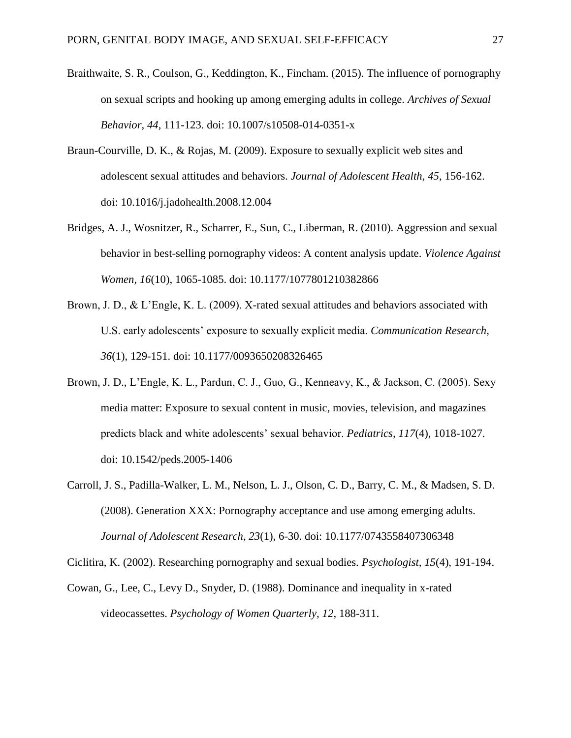- Braithwaite, S. R., Coulson, G., Keddington, K., Fincham. (2015). The influence of pornography on sexual scripts and hooking up among emerging adults in college. *Archives of Sexual Behavior, 44*, 111-123. doi: 10.1007/s10508-014-0351-x
- Braun-Courville, D. K., & Rojas, M. (2009). Exposure to sexually explicit web sites and adolescent sexual attitudes and behaviors. *Journal of Adolescent Health, 45*, 156-162. doi: 10.1016/j.jadohealth.2008.12.004
- Bridges, A. J., Wosnitzer, R., Scharrer, E., Sun, C., Liberman, R. (2010). Aggression and sexual behavior in best-selling pornography videos: A content analysis update. *Violence Against Women, 16*(10), 1065-1085. doi: 10.1177/1077801210382866
- Brown, J. D., & L'Engle, K. L. (2009). X-rated sexual attitudes and behaviors associated with U.S. early adolescents' exposure to sexually explicit media. *Communication Research, 36*(1), 129-151. doi: 10.1177/0093650208326465
- Brown, J. D., L'Engle, K. L., Pardun, C. J., Guo, G., Kenneavy, K., & Jackson, C. (2005). Sexy media matter: Exposure to sexual content in music, movies, television, and magazines predicts black and white adolescents' sexual behavior. *Pediatrics, 117*(4), 1018-1027. doi: 10.1542/peds.2005-1406
- Carroll, J. S., Padilla-Walker, L. M., Nelson, L. J., Olson, C. D., Barry, C. M., & Madsen, S. D. (2008). Generation XXX: Pornography acceptance and use among emerging adults. *Journal of Adolescent Research, 23*(1), 6-30. doi: 10.1177/0743558407306348

Ciclitira, K. (2002). Researching pornography and sexual bodies. *Psychologist, 15*(4), 191-194.

Cowan, G., Lee, C., Levy D., Snyder, D. (1988). Dominance and inequality in x-rated videocassettes. *Psychology of Women Quarterly, 12*, 188-311.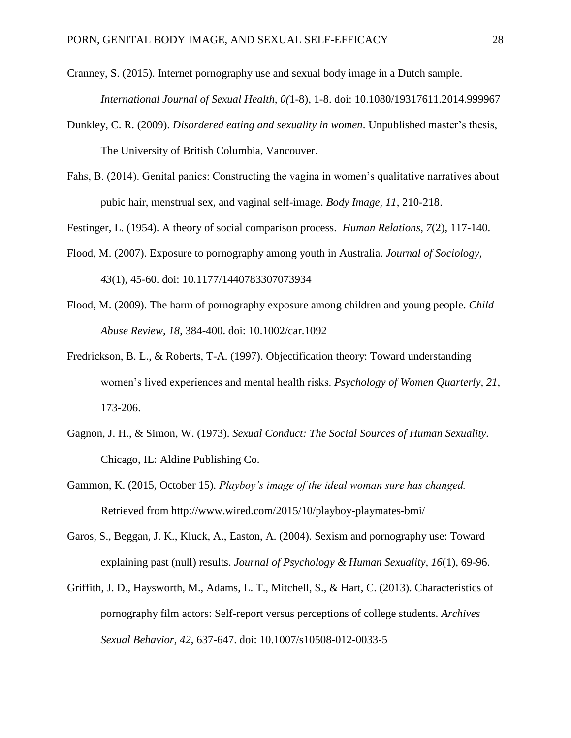- Cranney, S. (2015). Internet pornography use and sexual body image in a Dutch sample. *International Journal of Sexual Health, 0(*1-8), 1-8. doi: 10.1080/19317611.2014.999967
- Dunkley, C. R. (2009). *Disordered eating and sexuality in women*. Unpublished master's thesis, The University of British Columbia, Vancouver.
- Fahs, B. (2014). Genital panics: Constructing the vagina in women's qualitative narratives about pubic hair, menstrual sex, and vaginal self-image. *Body Image, 11*, 210-218.

Festinger, L. (1954). A theory of social comparison process. *Human Relations, 7*(2), 117-140.

- Flood, M. (2007). Exposure to pornography among youth in Australia. *Journal of Sociology, 43*(1), 45-60. doi: 10.1177/1440783307073934
- Flood, M. (2009). The harm of pornography exposure among children and young people. *Child Abuse Review, 18*, 384-400. doi: 10.1002/car.1092
- Fredrickson, B. L., & Roberts, T-A. (1997). Objectification theory: Toward understanding women's lived experiences and mental health risks. *Psychology of Women Quarterly, 21*, 173-206.
- Gagnon, J. H., & Simon, W. (1973). *Sexual Conduct: The Social Sources of Human Sexuality.*  Chicago, IL: Aldine Publishing Co.
- Gammon, K. (2015, October 15). *Playboy's image of the ideal woman sure has changed.*  Retrieved from http://www.wired.com/2015/10/playboy-playmates-bmi/
- Garos, S., Beggan, J. K., Kluck, A., Easton, A. (2004). Sexism and pornography use: Toward explaining past (null) results. *Journal of Psychology & Human Sexuality, 16*(1), 69-96.
- Griffith, J. D., Haysworth, M., Adams, L. T., Mitchell, S., & Hart, C. (2013). Characteristics of pornography film actors: Self-report versus perceptions of college students. *Archives Sexual Behavior, 42*, 637-647. doi: 10.1007/s10508-012-0033-5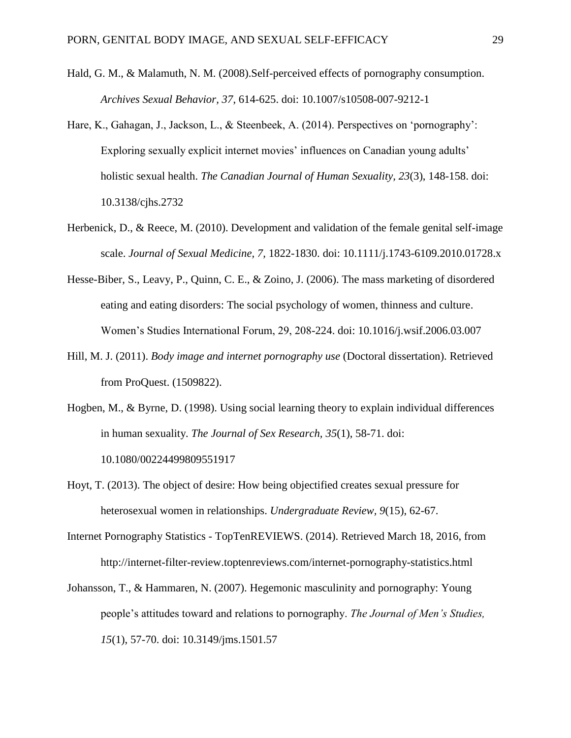- Hald, G. M., & Malamuth, N. M. (2008).Self-perceived effects of pornography consumption. *Archives Sexual Behavior, 37*, 614-625. doi: 10.1007/s10508-007-9212-1
- Hare, K., Gahagan, J., Jackson, L., & Steenbeek, A. (2014). Perspectives on 'pornography': Exploring sexually explicit internet movies' influences on Canadian young adults' holistic sexual health. *The Canadian Journal of Human Sexuality, 23*(3), 148-158. doi: 10.3138/cjhs.2732
- Herbenick, D., & Reece, M. (2010). Development and validation of the female genital self-image scale. *Journal of Sexual Medicine, 7,* 1822-1830. doi: 10.1111/j.1743-6109.2010.01728.x
- Hesse-Biber, S., Leavy, P., Quinn, C. E., & Zoino, J. (2006). The mass marketing of disordered eating and eating disorders: The social psychology of women, thinness and culture. Women's Studies International Forum, 29, 208-224. doi: 10.1016/j.wsif.2006.03.007
- Hill, M. J. (2011). *Body image and internet pornography use* (Doctoral dissertation). Retrieved from ProQuest. (1509822).
- Hogben, M., & Byrne, D. (1998). Using social learning theory to explain individual differences in human sexuality. *The Journal of Sex Research, 35*(1), 58-71. doi: 10.1080/00224499809551917
- Hoyt, T. (2013). The object of desire: How being objectified creates sexual pressure for heterosexual women in relationships. *Undergraduate Review, 9*(15), 62-67.
- Internet Pornography Statistics TopTenREVIEWS. (2014). Retrieved March 18, 2016, from http://internet-filter-review.toptenreviews.com/internet-pornography-statistics.html
- Johansson, T., & Hammaren, N. (2007). Hegemonic masculinity and pornography: Young people's attitudes toward and relations to pornography. *The Journal of Men's Studies, 15*(1), 57-70. doi: 10.3149/jms.1501.57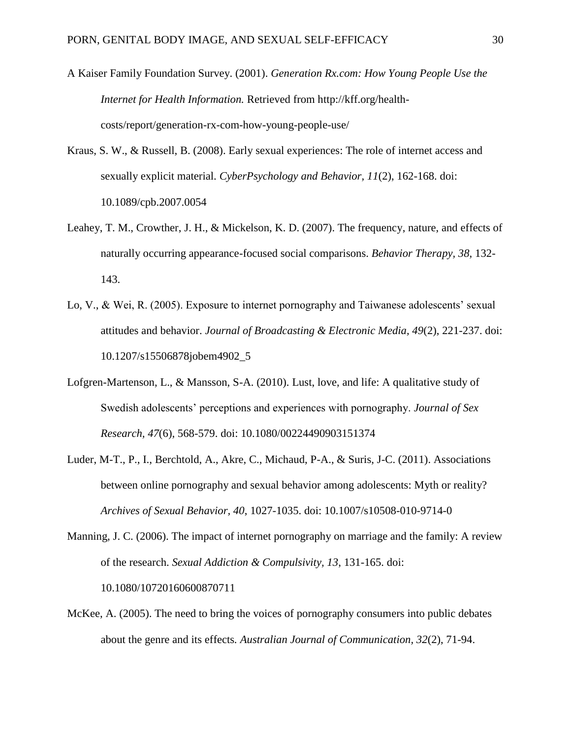- A Kaiser Family Foundation Survey. (2001). *Generation Rx.com: How Young People Use the Internet for Health Information.* Retrieved from http://kff.org/healthcosts/report/generation-rx-com-how-young-people-use/
- Kraus, S. W., & Russell, B. (2008). Early sexual experiences: The role of internet access and sexually explicit material. *CyberPsychology and Behavior, 11*(2), 162-168. doi: 10.1089/cpb.2007.0054
- Leahey, T. M., Crowther, J. H., & Mickelson, K. D. (2007). The frequency, nature, and effects of naturally occurring appearance-focused social comparisons. *Behavior Therapy, 38,* 132- 143.
- Lo, V., & Wei, R. (2005). Exposure to internet pornography and Taiwanese adolescents' sexual attitudes and behavior. *Journal of Broadcasting & Electronic Media, 49*(2), 221-237. doi: 10.1207/s15506878jobem4902\_5
- Lofgren-Martenson, L., & Mansson, S-A. (2010). Lust, love, and life: A qualitative study of Swedish adolescents' perceptions and experiences with pornography. *Journal of Sex Research, 47*(6), 568-579. doi: 10.1080/00224490903151374
- Luder, M-T., P., I., Berchtold, A., Akre, C., Michaud, P-A., & Suris, J-C. (2011). Associations between online pornography and sexual behavior among adolescents: Myth or reality? *Archives of Sexual Behavior, 40*, 1027-1035. doi: 10.1007/s10508-010-9714-0
- Manning, J. C. (2006). The impact of internet pornography on marriage and the family: A review of the research. *Sexual Addiction & Compulsivity, 13*, 131-165. doi: 10.1080/10720160600870711
- McKee, A. (2005). The need to bring the voices of pornography consumers into public debates about the genre and its effects*. Australian Journal of Communication, 32*(2), 71-94.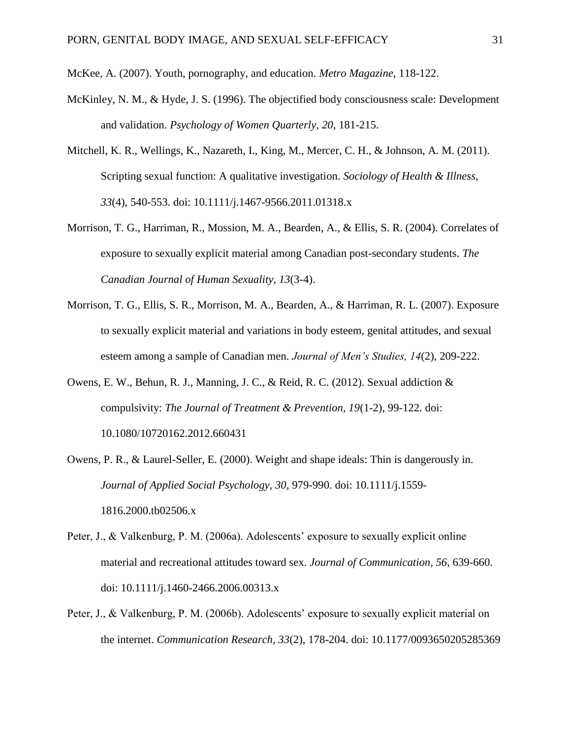McKee, A. (2007). Youth, pornography, and education. *Metro Magazine*, 118-122.

- McKinley, N. M., & Hyde, J. S. (1996). The objectified body consciousness scale: Development and validation. *Psychology of Women Quarterly, 20*, 181-215.
- Mitchell, K. R., Wellings, K., Nazareth, I., King, M., Mercer, C. H., & Johnson, A. M. (2011). Scripting sexual function: A qualitative investigation. *Sociology of Health & Illness, 33*(4), 540-553. doi: 10.1111/j.1467-9566.2011.01318.x
- Morrison, T. G., Harriman, R., Mossion, M. A., Bearden, A., & Ellis, S. R. (2004). Correlates of exposure to sexually explicit material among Canadian post-secondary students. *The Canadian Journal of Human Sexuality, 13*(3-4).
- Morrison, T. G., Ellis, S. R., Morrison, M. A., Bearden, A., & Harriman, R. L. (2007). Exposure to sexually explicit material and variations in body esteem, genital attitudes, and sexual esteem among a sample of Canadian men. *Journal of Men's Studies, 14*(2), 209-222.
- Owens, E. W., Behun, R. J., Manning, J. C., & Reid, R. C. (2012). Sexual addiction & compulsivity: *The Journal of Treatment & Prevention, 19*(1-2), 99-122. doi: 10.1080/10720162.2012.660431
- Owens, P. R., & Laurel-Seller, E. (2000). Weight and shape ideals: Thin is dangerously in. *Journal of Applied Social Psychology, 30*, 979-990. doi: 10.1111/j.1559- 1816.2000.tb02506.x
- Peter, J., & Valkenburg, P. M. (2006a). Adolescents' exposure to sexually explicit online material and recreational attitudes toward sex. *Journal of Communication, 56*, 639-660. doi: 10.1111/j.1460-2466.2006.00313.x
- Peter, J., & Valkenburg, P. M. (2006b). Adolescents' exposure to sexually explicit material on the internet. *Communication Research, 33*(2), 178-204. doi: 10.1177/0093650205285369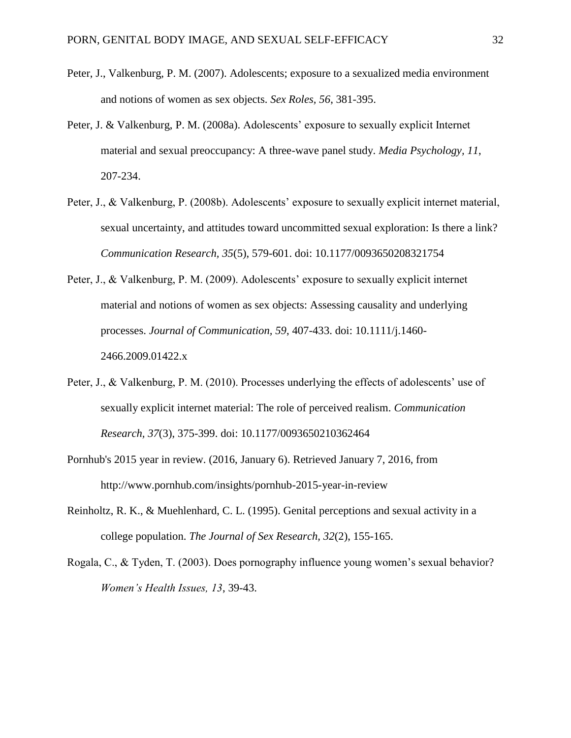- Peter, J., Valkenburg, P. M. (2007). Adolescents; exposure to a sexualized media environment and notions of women as sex objects. *Sex Roles, 56*, 381-395.
- Peter, J. & Valkenburg, P. M. (2008a). Adolescents' exposure to sexually explicit Internet material and sexual preoccupancy: A three-wave panel study. *Media Psychology, 11*, 207-234.
- Peter, J., & Valkenburg, P. (2008b). Adolescents' exposure to sexually explicit internet material, sexual uncertainty, and attitudes toward uncommitted sexual exploration: Is there a link? *Communication Research, 35*(5), 579-601. doi: 10.1177/0093650208321754
- Peter, J., & Valkenburg, P. M. (2009). Adolescents' exposure to sexually explicit internet material and notions of women as sex objects: Assessing causality and underlying processes. *Journal of Communication, 59*, 407-433. doi: 10.1111/j.1460- 2466.2009.01422.x
- Peter, J., & Valkenburg, P. M. (2010). Processes underlying the effects of adolescents' use of sexually explicit internet material: The role of perceived realism. *Communication Research, 37*(3), 375-399. doi: 10.1177/0093650210362464
- Pornhub's 2015 year in review. (2016, January 6). Retrieved January 7, 2016, from http://www.pornhub.com/insights/pornhub-2015-year-in-review
- Reinholtz, R. K., & Muehlenhard, C. L. (1995). Genital perceptions and sexual activity in a college population. *The Journal of Sex Research, 32*(2), 155-165.
- Rogala, C., & Tyden, T. (2003). Does pornography influence young women's sexual behavior? *Women's Health Issues, 13*, 39-43.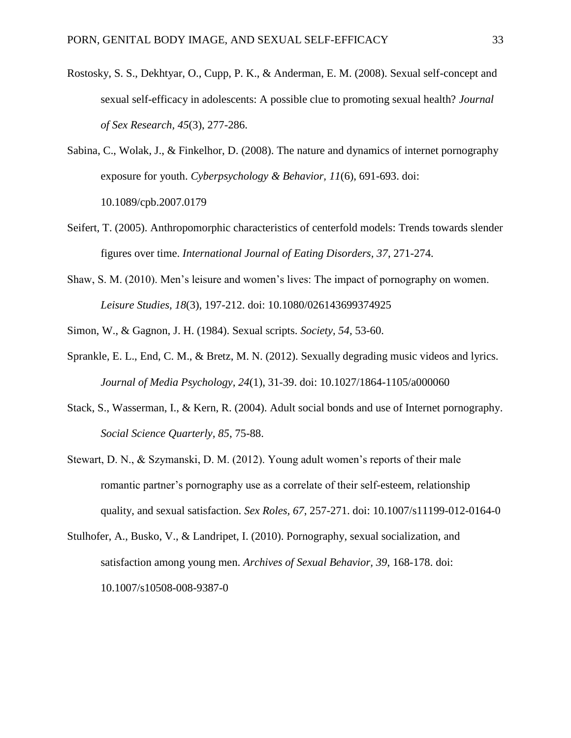- Rostosky, S. S., Dekhtyar, O., Cupp, P. K., & Anderman, E. M. (2008). Sexual self-concept and sexual self-efficacy in adolescents: A possible clue to promoting sexual health? *Journal of Sex Research, 45*(3), 277-286.
- Sabina, C., Wolak, J., & Finkelhor, D. (2008). The nature and dynamics of internet pornography exposure for youth. *Cyberpsychology & Behavior, 11*(6), 691-693. doi: 10.1089/cpb.2007.0179
- Seifert, T. (2005). Anthropomorphic characteristics of centerfold models: Trends towards slender figures over time. *International Journal of Eating Disorders, 37*, 271-274.
- Shaw, S. M. (2010). Men's leisure and women's lives: The impact of pornography on women. *Leisure Studies, 18*(3), 197-212. doi: 10.1080/026143699374925
- Simon, W., & Gagnon, J. H. (1984). Sexual scripts. *Society, 54,* 53-60.
- Sprankle, E. L., End, C. M., & Bretz, M. N. (2012). Sexually degrading music videos and lyrics. *Journal of Media Psychology, 24*(1), 31-39. doi: 10.1027/1864-1105/a000060
- Stack, S., Wasserman, I., & Kern, R. (2004). Adult social bonds and use of Internet pornography. *Social Science Quarterly, 85*, 75-88.
- Stewart, D. N., & Szymanski, D. M. (2012). Young adult women's reports of their male romantic partner's pornography use as a correlate of their self-esteem, relationship quality, and sexual satisfaction. *Sex Roles, 67*, 257-271. doi: 10.1007/s11199-012-0164-0
- Stulhofer, A., Busko, V., & Landripet, I. (2010). Pornography, sexual socialization, and satisfaction among young men. *Archives of Sexual Behavior, 39*, 168-178. doi: 10.1007/s10508-008-9387-0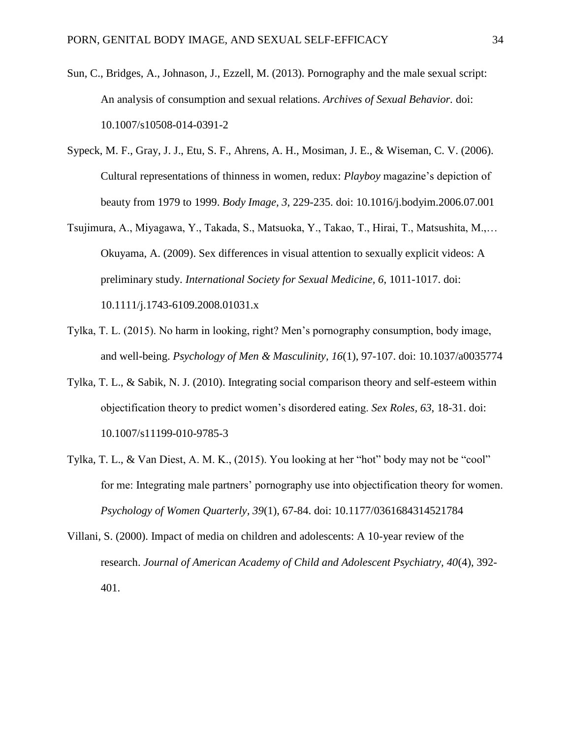- Sun, C., Bridges, A., Johnason, J., Ezzell, M. (2013). Pornography and the male sexual script: An analysis of consumption and sexual relations. *Archives of Sexual Behavior.* doi: 10.1007/s10508-014-0391-2
- Sypeck, M. F., Gray, J. J., Etu, S. F., Ahrens, A. H., Mosiman, J. E., & Wiseman, C. V. (2006). Cultural representations of thinness in women, redux: *Playboy* magazine's depiction of beauty from 1979 to 1999. *Body Image, 3*, 229-235. doi: 10.1016/j.bodyim.2006.07.001
- Tsujimura, A., Miyagawa, Y., Takada, S., Matsuoka, Y., Takao, T., Hirai, T., Matsushita, M.,… Okuyama, A. (2009). Sex differences in visual attention to sexually explicit videos: A preliminary study. *International Society for Sexual Medicine, 6*, 1011-1017. doi: 10.1111/j.1743-6109.2008.01031.x
- Tylka, T. L. (2015). No harm in looking, right? Men's pornography consumption, body image, and well-being. *Psychology of Men & Masculinity, 16*(1), 97-107. doi: 10.1037/a0035774
- Tylka, T. L., & Sabik, N. J. (2010). Integrating social comparison theory and self-esteem within objectification theory to predict women's disordered eating. *Sex Roles, 63*, 18-31. doi: 10.1007/s11199-010-9785-3
- Tylka, T. L., & Van Diest, A. M. K., (2015). You looking at her "hot" body may not be "cool" for me: Integrating male partners' pornography use into objectification theory for women. *Psychology of Women Quarterly, 39*(1), 67-84. doi: 10.1177/0361684314521784
- Villani, S. (2000). Impact of media on children and adolescents: A 10-year review of the research. *Journal of American Academy of Child and Adolescent Psychiatry, 40*(4), 392- 401.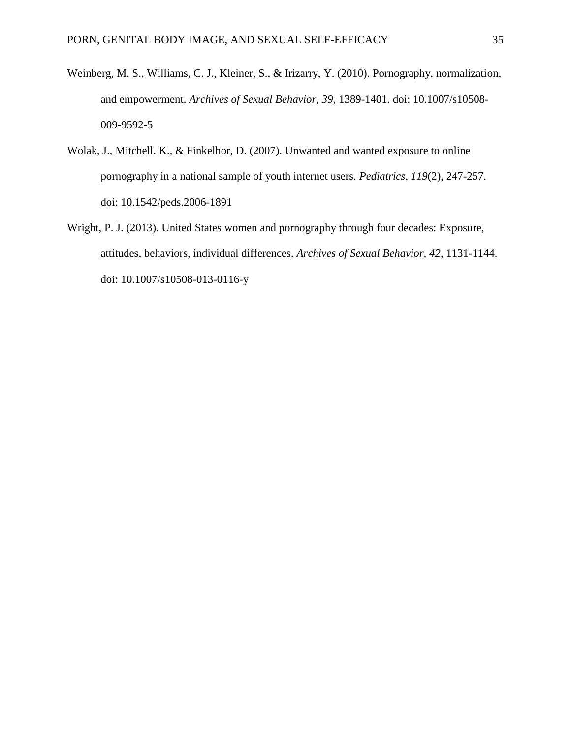- Weinberg, M. S., Williams, C. J., Kleiner, S., & Irizarry, Y. (2010). Pornography, normalization, and empowerment. *Archives of Sexual Behavior, 39*, 1389-1401. doi: 10.1007/s10508- 009-9592-5
- Wolak, J., Mitchell, K., & Finkelhor, D. (2007). Unwanted and wanted exposure to online pornography in a national sample of youth internet users. *Pediatrics, 119*(2), 247-257. doi: 10.1542/peds.2006-1891
- Wright, P. J. (2013). United States women and pornography through four decades: Exposure, attitudes, behaviors, individual differences. *Archives of Sexual Behavior, 42*, 1131-1144. doi: 10.1007/s10508-013-0116-y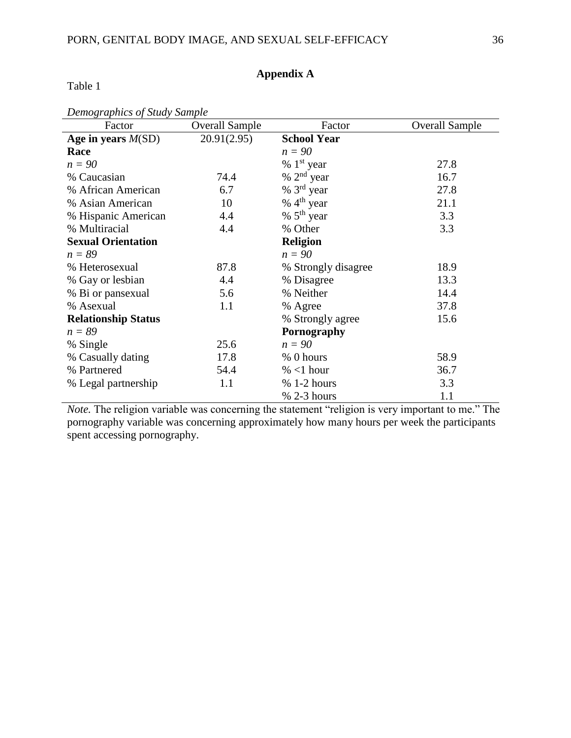# **Appendix A**

| Factor                     | <b>Overall Sample</b> | Factor              | <b>Overall Sample</b> |
|----------------------------|-----------------------|---------------------|-----------------------|
| Age in years $M(SD)$       | 20.91(2.95)           | <b>School Year</b>  |                       |
| Race                       |                       | $n=90$              |                       |
| $n=90$                     |                       | $% 1st$ year        | 27.8                  |
| % Caucasian                | 74.4                  | $% 2nd$ year        | 16.7                  |
| % African American         | 6.7                   | $% 3rd$ year        | 27.8                  |
| % Asian American           | 10                    | % $4th$ year        | 21.1                  |
| % Hispanic American        | 4.4                   | % $5th$ year        | 3.3                   |
| % Multiracial              | 4.4                   | % Other             | 3.3                   |
| <b>Sexual Orientation</b>  |                       | <b>Religion</b>     |                       |
| $n = 89$                   |                       | $n=90$              |                       |
| % Heterosexual             | 87.8                  | % Strongly disagree | 18.9                  |
| % Gay or lesbian           | 4.4                   | % Disagree          | 13.3                  |
| % Bi or pansexual          | 5.6                   | % Neither           | 14.4                  |
| % Asexual                  | 1.1                   | % Agree             | 37.8                  |
| <b>Relationship Status</b> |                       | % Strongly agree    | 15.6                  |
| $n = 89$                   |                       | Pornography         |                       |
| % Single                   | 25.6                  | $n=90$              |                       |
| % Casually dating          | 17.8                  | % 0 hours           | 58.9                  |
| % Partnered                | 54.4                  | $% < 1$ hour        | 36.7                  |
| % Legal partnership        | 1.1                   | $% 1-2 hours$       | 3.3                   |
|                            |                       | $% 2-3 hours$       | 1.1                   |

*Note.* The religion variable was concerning the statement "religion is very important to me." The pornography variable was concerning approximately how many hours per week the participants spent accessing pornography.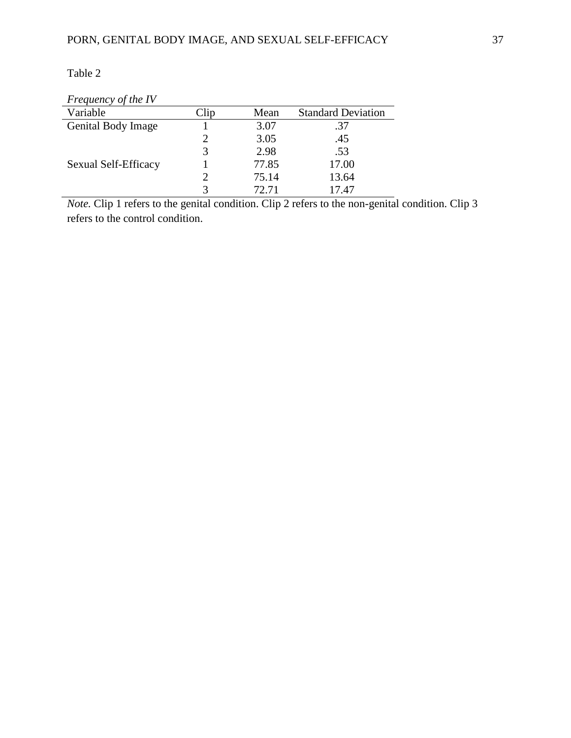# Table 2

| $\frac{1}{2}$ requested $\frac{1}{2}$ of the $\frac{1}{2}$ |         |       |                           |
|------------------------------------------------------------|---------|-------|---------------------------|
| Variable                                                   | $\ln p$ | Mean  | <b>Standard Deviation</b> |
| Genital Body Image                                         |         | 3.07  | .37                       |
|                                                            |         | 3.05  | .45                       |
|                                                            |         | 2.98  | .53                       |
| Sexual Self-Efficacy                                       |         | 77.85 | 17.00                     |
|                                                            |         | 75.14 | 13.64                     |
|                                                            |         | 72.71 | 7.47                      |

## *Frequency of the IV*

*Note.* Clip 1 refers to the genital condition. Clip 2 refers to the non-genital condition. Clip 3 refers to the control condition.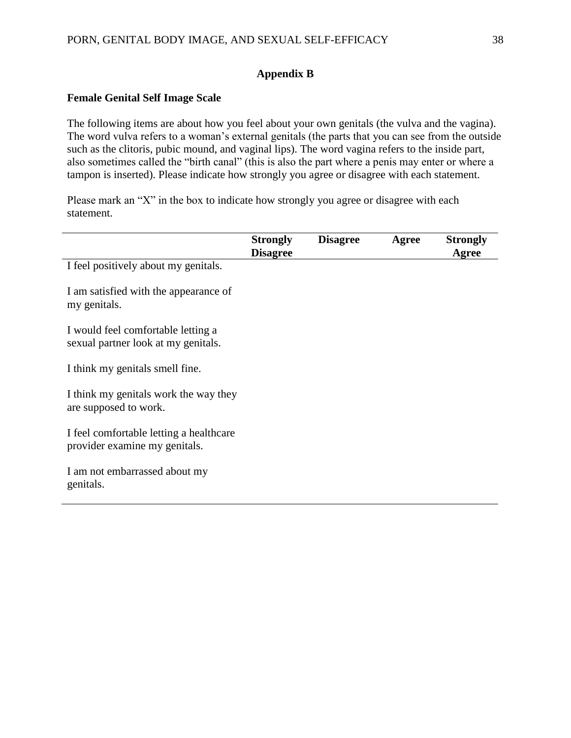# **Appendix B**

## **Female Genital Self Image Scale**

The following items are about how you feel about your own genitals (the vulva and the vagina). The word vulva refers to a woman's external genitals (the parts that you can see from the outside such as the clitoris, pubic mound, and vaginal lips). The word vagina refers to the inside part, also sometimes called the "birth canal" (this is also the part where a penis may enter or where a tampon is inserted). Please indicate how strongly you agree or disagree with each statement.

Please mark an "X" in the box to indicate how strongly you agree or disagree with each statement.

|                                                                           | <b>Strongly</b><br><b>Disagree</b> | <b>Disagree</b> | Agree | <b>Strongly</b><br>Agree |
|---------------------------------------------------------------------------|------------------------------------|-----------------|-------|--------------------------|
| I feel positively about my genitals.                                      |                                    |                 |       |                          |
| I am satisfied with the appearance of<br>my genitals.                     |                                    |                 |       |                          |
| I would feel comfortable letting a<br>sexual partner look at my genitals. |                                    |                 |       |                          |
| I think my genitals smell fine.                                           |                                    |                 |       |                          |
| I think my genitals work the way they<br>are supposed to work.            |                                    |                 |       |                          |
| I feel comfortable letting a healthcare<br>provider examine my genitals.  |                                    |                 |       |                          |
| I am not embarrassed about my<br>genitals.                                |                                    |                 |       |                          |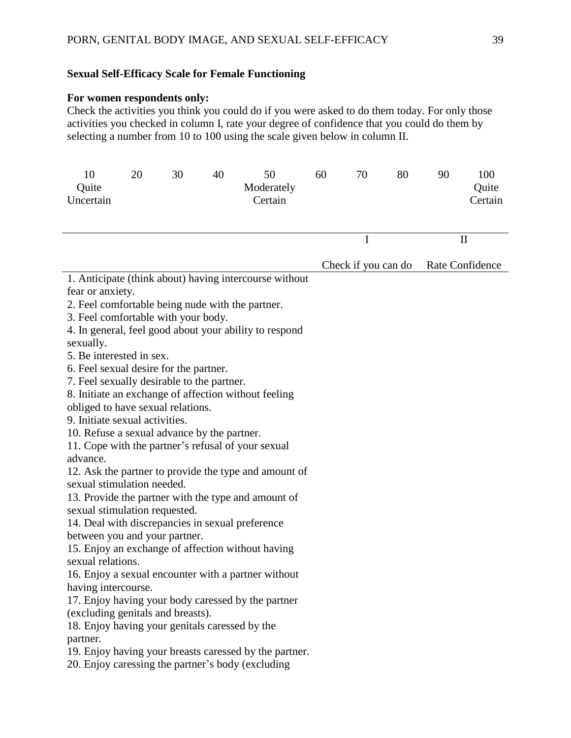# **Sexual Self-Efficacy Scale for Female Functioning**

## **For women respondents only:**

Check the activities you think you could do if you were asked to do them today. For only those activities you checked in column I, rate your degree of confidence that you could do them by selecting a number from 10 to 100 using the scale given below in column II.

| 10<br>Quite<br>Uncertain                                                                                                                                                                                                                                                                                                                                                                                                                                                                                                                                                                                                                                                          | 20 | 30 | 40 | 50<br>Moderately<br>Certain                                                                                                                                                                                                                                                                                                                                                                                                                                                                                                                                                                                                     | 60 | 70                  | 80 | 90 | 100<br>Quite<br>Certain |
|-----------------------------------------------------------------------------------------------------------------------------------------------------------------------------------------------------------------------------------------------------------------------------------------------------------------------------------------------------------------------------------------------------------------------------------------------------------------------------------------------------------------------------------------------------------------------------------------------------------------------------------------------------------------------------------|----|----|----|---------------------------------------------------------------------------------------------------------------------------------------------------------------------------------------------------------------------------------------------------------------------------------------------------------------------------------------------------------------------------------------------------------------------------------------------------------------------------------------------------------------------------------------------------------------------------------------------------------------------------------|----|---------------------|----|----|-------------------------|
|                                                                                                                                                                                                                                                                                                                                                                                                                                                                                                                                                                                                                                                                                   |    |    |    |                                                                                                                                                                                                                                                                                                                                                                                                                                                                                                                                                                                                                                 |    | $\mathbf I$         |    |    | $\mathbf H$             |
|                                                                                                                                                                                                                                                                                                                                                                                                                                                                                                                                                                                                                                                                                   |    |    |    |                                                                                                                                                                                                                                                                                                                                                                                                                                                                                                                                                                                                                                 |    | Check if you can do |    |    | Rate Confidence         |
| fear or anxiety.<br>2. Feel comfortable being nude with the partner.<br>3. Feel comfortable with your body.<br>sexually.<br>5. Be interested in sex.<br>6. Feel sexual desire for the partner.<br>7. Feel sexually desirable to the partner.<br>obliged to have sexual relations.<br>9. Initiate sexual activities.<br>10. Refuse a sexual advance by the partner.<br>advance.<br>sexual stimulation needed.<br>sexual stimulation requested.<br>14. Deal with discrepancies in sexual preference<br>between you and your partner.<br>sexual relations.<br>having intercourse.<br>(excluding genitals and breasts).<br>18. Enjoy having your genitals caressed by the<br>partner. |    |    |    | 1. Anticipate (think about) having intercourse without<br>4. In general, feel good about your ability to respond<br>8. Initiate an exchange of affection without feeling<br>11. Cope with the partner's refusal of your sexual<br>12. Ask the partner to provide the type and amount of<br>13. Provide the partner with the type and amount of<br>15. Enjoy an exchange of affection without having<br>16. Enjoy a sexual encounter with a partner without<br>17. Enjoy having your body caressed by the partner<br>19. Enjoy having your breasts caressed by the partner.<br>20. Enjoy caressing the partner's body (excluding |    |                     |    |    |                         |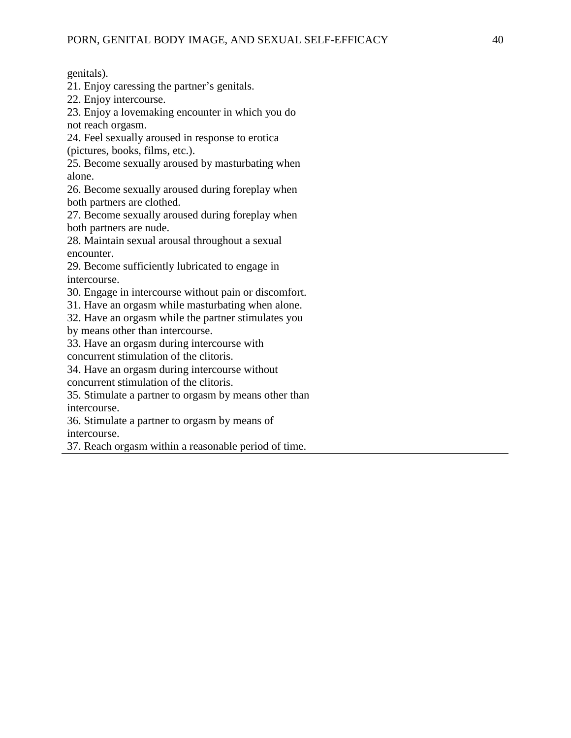genitals).

21. Enjoy caressing the partner's genitals.

22. Enjoy intercourse.

23. Enjoy a lovemaking encounter in which you do not reach orgasm.

24. Feel sexually aroused in response to erotica

(pictures, books, films, etc.).

25. Become sexually aroused by masturbating when alone.

26. Become sexually aroused during foreplay when both partners are clothed.

27. Become sexually aroused during foreplay when both partners are nude.

28. Maintain sexual arousal throughout a sexual encounter.

29. Become sufficiently lubricated to engage in intercourse.

30. Engage in intercourse without pain or discomfort.

31. Have an orgasm while masturbating when alone.

32. Have an orgasm while the partner stimulates you by means other than intercourse.

33. Have an orgasm during intercourse with concurrent stimulation of the clitoris.

34. Have an orgasm during intercourse without

concurrent stimulation of the clitoris.

35. Stimulate a partner to orgasm by means other than intercourse.

36. Stimulate a partner to orgasm by means of intercourse.

37. Reach orgasm within a reasonable period of time.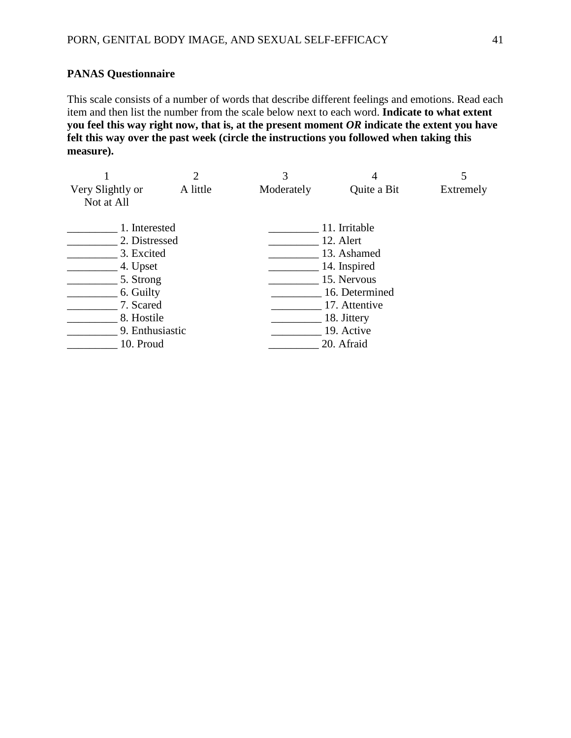# **PANAS Questionnaire**

This scale consists of a number of words that describe different feelings and emotions. Read each item and then list the number from the scale below next to each word. **Indicate to what extent you feel this way right now, that is, at the present moment** *OR* **indicate the extent you have felt this way over the past week (circle the instructions you followed when taking this measure).** 

|                  |                 | 2        | 3          |                |           |
|------------------|-----------------|----------|------------|----------------|-----------|
| Very Slightly or |                 | A little | Moderately | Quite a Bit    | Extremely |
| Not at All       |                 |          |            |                |           |
|                  | 1. Interested   |          |            | 11. Irritable  |           |
|                  | 2. Distressed   |          |            | 12. Alert      |           |
| 3. Excited       |                 |          |            | 13. Ashamed    |           |
| 4. Upset         |                 |          |            | 14. Inspired   |           |
| 5. Strong        |                 |          |            | 15. Nervous    |           |
|                  | 6. Guilty       |          |            | 16. Determined |           |
| 7. Scared        |                 |          |            | 17. Attentive  |           |
|                  | 8. Hostile      |          |            | 18. Jittery    |           |
|                  | 9. Enthusiastic |          |            | 19. Active     |           |
|                  | 10. Proud       |          |            | 20. Afraid     |           |